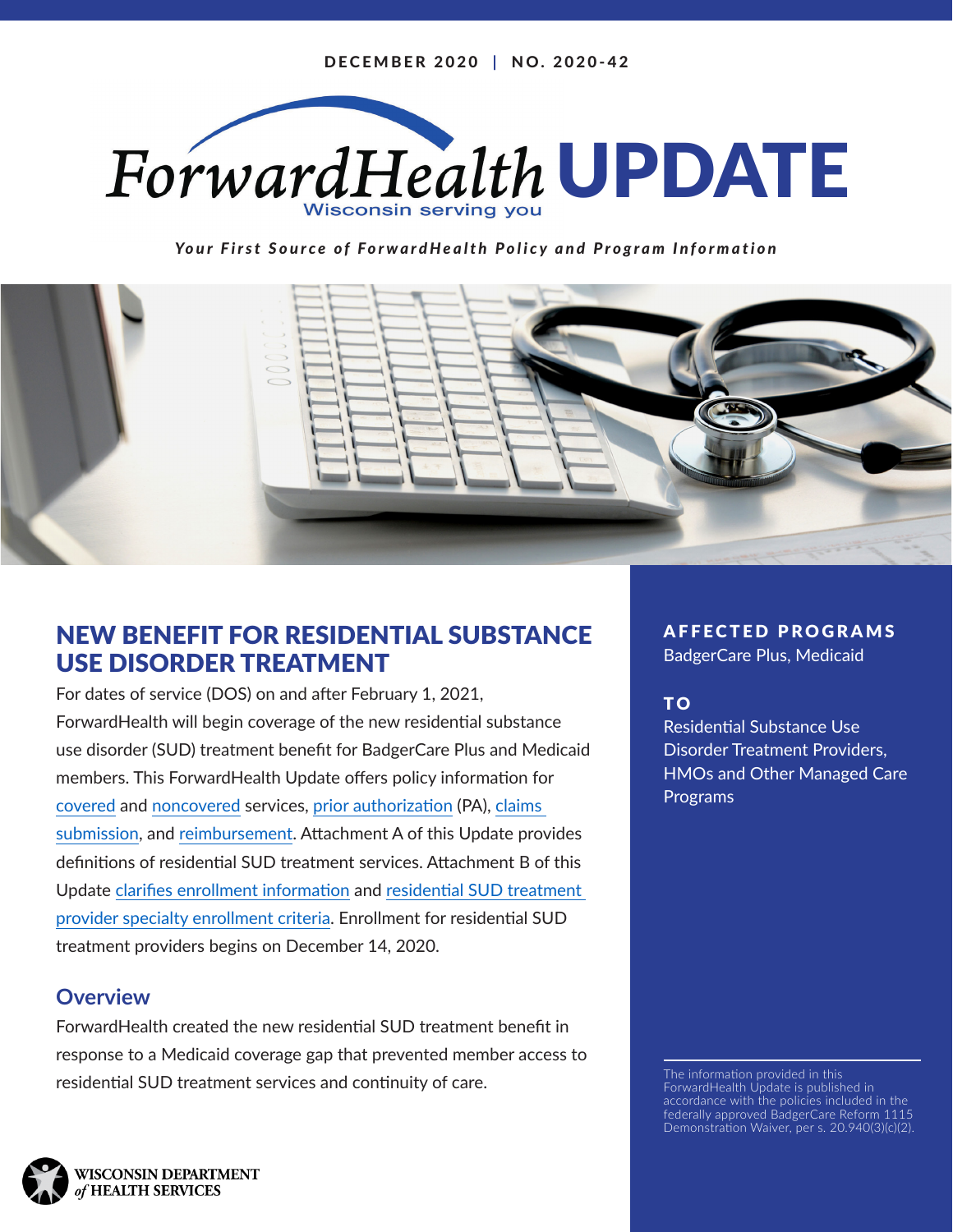

*Your First Source of ForwardHealth Policy and Program Information*



# NEW BENEFIT FOR RESIDENTIAL SUBSTANCE USE DISORDER TREATMENT

For dates of service (DOS) on and after February 1, 2021, ForwardHealth will begin coverage of the new residential substance use disorder (SUD) treatment benefit for BadgerCare Plus and Medicaid members. This ForwardHealth Update offers policy information for [covered](#page-1-0) and [noncovered ser](#page-6-0)vices, [prior authorization \(PA\),](#page-7-0) [claims](#page-16-0)  [submission](#page-16-0), and [reimbursement. A](#page-20-0)ttachment A of this Update provides definitions of residential SUD treatment services. Attachment B of this Update [clarifies enrollment information](#page-27-0) and [residential SUD treatment](#page-27-0)  [provider specialty enrollment criteria. E](#page-27-0)nrollment for residential SUD treatment providers begins on December 14, 2020.

# **Overview**

ForwardHealth created the new residential SUD treatment benefit in response to a Medicaid coverage gap that prevented member access to residential SUD treatment services and continuity of care.

AFFECTED PROGRAMS

BadgerCare Plus, Medicaid

# T O

Residential Substance Use Disorder Treatment Providers, HMOs and Other Managed Care Programs

The information provided in this ForwardHealth Update is published in accordance with the policies included in the federally approved BadgerCare Reform 1115 Demonstration Waiver, per s. 20.940(3)(c)(2).

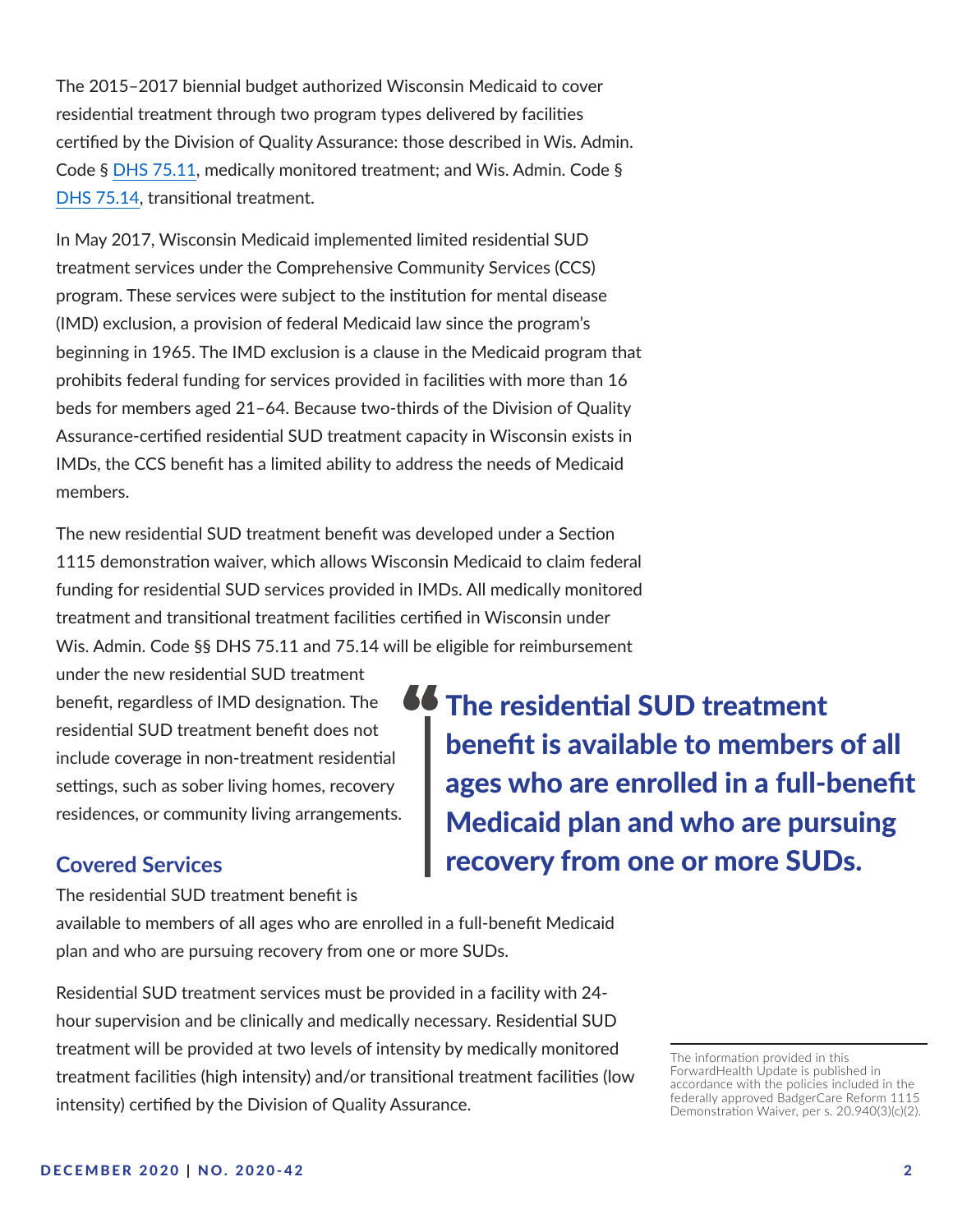<span id="page-1-0"></span>The 2015–2017 biennial budget authorized Wisconsin Medicaid to cover residential treatment through two program types delivered by facilities certified by the Division of Quality Assurance: those described in Wis. Admin. Code § [DHS 75.11](https://docs.legis.wisconsin.gov/code/admin_code/dhs/030/75/11), medically monitored treatment; and Wis. Admin. Code § [DHS 75.14,](https://docs.legis.wisconsin.gov/code/admin_code/dhs/030/75/14) transitional treatment.

In May 2017, Wisconsin Medicaid implemented limited residential SUD treatment services under the Comprehensive Community Services (CCS) program. These services were subject to the institution for mental disease (IMD) exclusion, a provision of federal Medicaid law since the program's beginning in 1965. The IMD exclusion is a clause in the Medicaid program that prohibits federal funding for services provided in facilities with more than 16 beds for members aged 21–64. Because two-thirds of the Division of Quality Assurance-certified residential SUD treatment capacity in Wisconsin exists in IMDs, the CCS benefit has a limited ability to address the needs of Medicaid members.

The new residential SUD treatment benefit was developed under a Section 1115 demonstration waiver, which allows Wisconsin Medicaid to claim federal funding for residential SUD services provided in IMDs. All medically monitored treatment and transitional treatment facilities certified in Wisconsin under Wis. Admin. Code §§ DHS 75.11 and 75.14 will be eligible for reimbursement

under the new residential SUD treatment benefit, regardless of IMD designation. The residential SUD treatment benefit does not include coverage in non-treatment residential settings, such as sober living homes, recovery residences, or community living arrangements.

The residential SUD treatment benefit is available to members of all ages who are enrolled in a full-benefit Medicaid plan and who are pursuing recovery from one or more SUDs.

# **Covered Services**

The residential SUD treatment benefit is

available to members of all ages who are enrolled in a full-benefit Medicaid plan and who are pursuing recovery from one or more SUDs.

Residential SUD treatment services must be provided in a facility with 24 hour supervision and be clinically and medically necessary. Residential SUD treatment will be provided at two levels of intensity by medically monitored treatment facilities (high intensity) and/or transitional treatment facilities (low intensity) certified by the Division of Quality Assurance.

The information provided in this ForwardHealth Update is published in accordance with the policies included in the federally approved BadgerCare Reform 1115 Demonstration Waiver, per s. 20.940(3)(c)(2).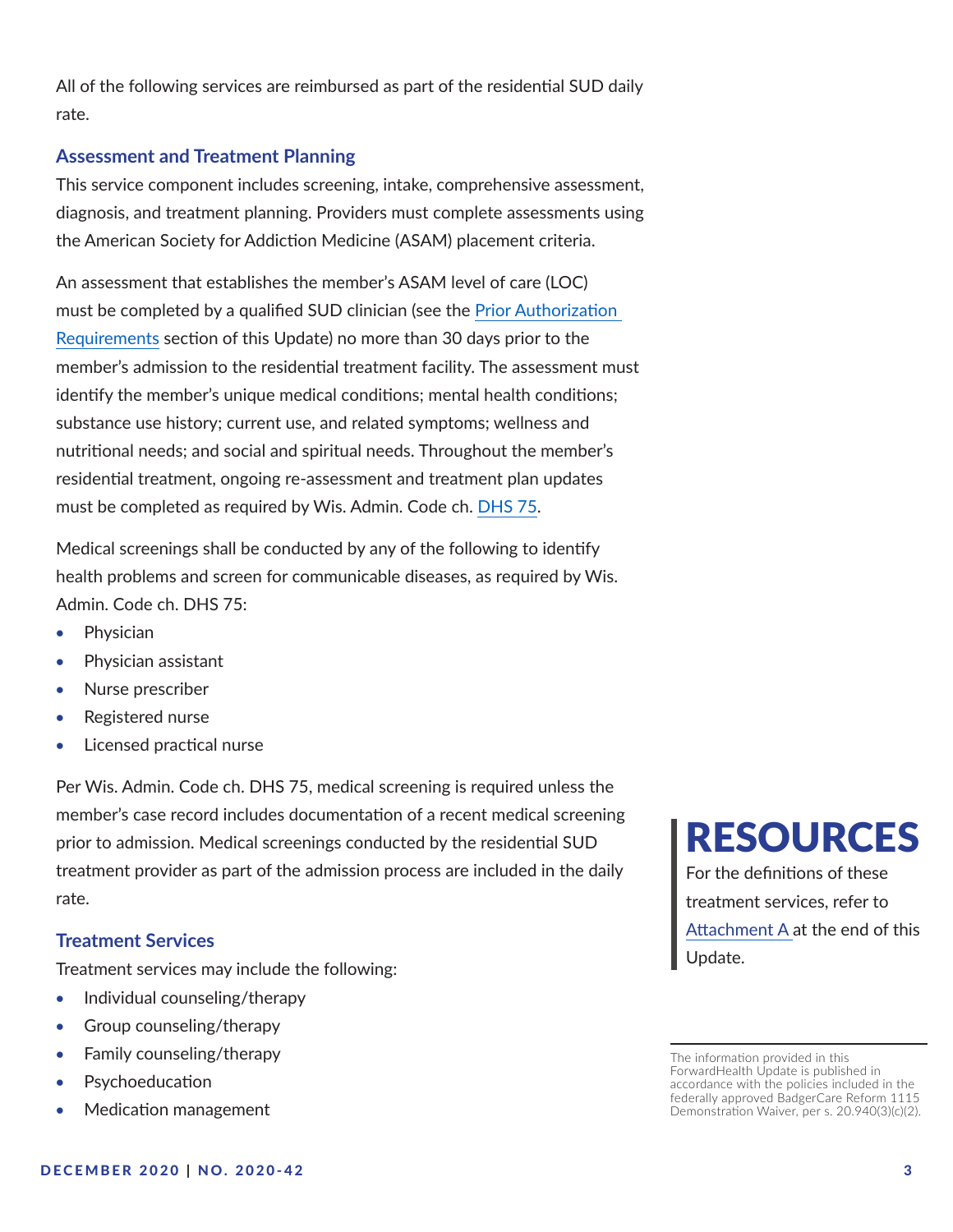All of the following services are reimbursed as part of the residential SUD daily rate.

#### **Assessment and Treatment Planning**

This service component includes screening, intake, comprehensive assessment, diagnosis, and treatment planning. Providers must complete assessments using the American Society for Addiction Medicine (ASAM) placement criteria.

An assessment that establishes the member's ASAM level of care (LOC) must be completed by a qualified SUD clinician (see the [Prior Authorization](#page-7-0)  [Requirements s](#page-7-0)ection of this Update) no more than 30 days prior to the member's admission to the residential treatment facility. The assessment must identify the member's unique medical conditions; mental health conditions; substance use history; current use, and related symptoms; wellness and nutritional needs; and social and spiritual needs. Throughout the member's residential treatment, ongoing re-assessment and treatment plan updates must be completed as required by Wis. Admin. Code ch. [DHS 75](https://docs.legis.wisconsin.gov/code/admin_code/dhs/030/75).

Medical screenings shall be conducted by any of the following to identify health problems and screen for communicable diseases, as required by Wis. Admin. Code ch. DHS 75:

- • Physician
- • Physician assistant
- Nurse prescriber
- Registered nurse
- • Licensed practical nurse

Per Wis. Admin. Code ch. DHS 75, medical screening is required unless the member's case record includes documentation of a recent medical screening prior to admission. Medical screenings conducted by the residential SUD treatment provider as part of the admission process are included in the daily rate.

#### **Treatment Services**

Treatment services may include the following:

- Individual counseling/therapy
- Group counseling/therapy
- Family counseling/therapy
- **Psychoeducation**
- Medication management

# RESOURCES

For the definitions of these treatment services, refer to [Attachment A at](#page-26-0) the end of this Update.

The information provided in this ForwardHealth Update is published in accordance with the policies included in the federally approved BadgerCare Reform 1115 Demonstration Waiver, per s. 20.940(3)(c)(2).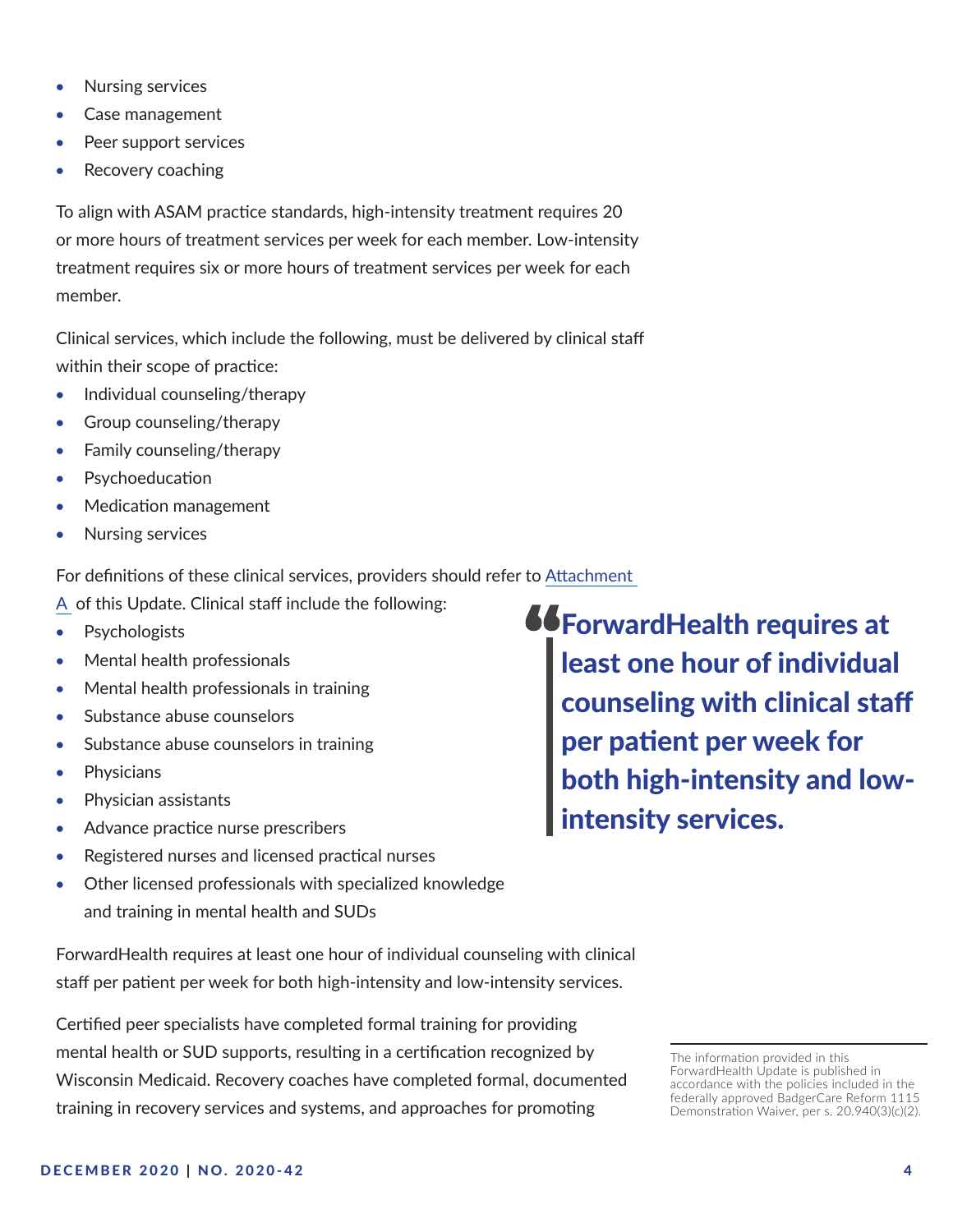- Nursing services
- Case management
- Peer support services
- Recovery coaching

To align with ASAM practice standards, high-intensity treatment requires 20 or more hours of treatment services per week for each member. Low-intensity treatment requires six or more hours of treatment services per week for each member.

Clinical services, which include the following, must be delivered by clinical staff within their scope of practice:

- Individual counseling/therapy
- Group counseling/therapy
- Family counseling/therapy
- Psychoeducation
- Medication management
- Nursing services

For definitions of these clinical services, providers should refer to [Attachment](#page-26-0) 

[A](#page-26-0) of this Update. Clinical staff include the following:

- Psychologists
- Mental health professionals
- Mental health professionals in training
- Substance abuse counselors
- Substance abuse counselors in training
- • Physicians
- Physician assistants
- Advance practice nurse prescribers
- Registered nurses and licensed practical nurses
- Other licensed professionals with specialized knowledge and training in mental health and SUDs

ForwardHealth requires at least one hour of individual counseling with clinical staff per patient per week for both high-intensity and low-intensity services.

Certified peer specialists have completed formal training for providing mental health or SUD supports, resulting in a certification recognized by Wisconsin Medicaid. Recovery coaches have completed formal, documented training in recovery services and systems, and approaches for promoting

**66 ForwardHealth requires at** least one hour of individual counseling with clinical staff per patient per week for both high-intensity and lowintensity services.

The information provided in this ForwardHealth Update is published in accordance with the policies included in the federally approved BadgerCare Reform 1115 Demonstration Waiver, per s. 20.940(3)(c)(2).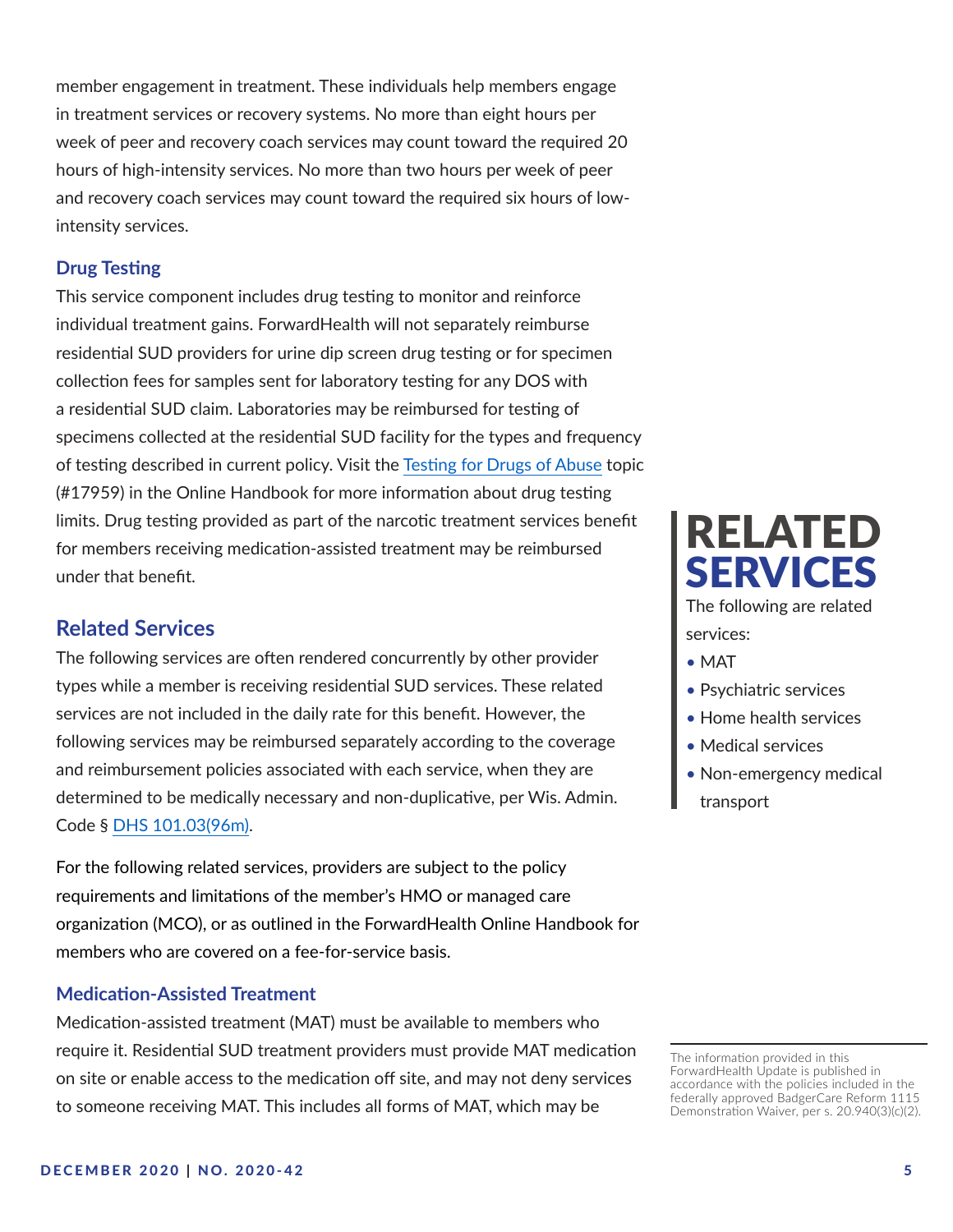member engagement in treatment. These individuals help members engage in treatment services or recovery systems. No more than eight hours per week of peer and recovery coach services may count toward the required 20 hours of high-intensity services. No more than two hours per week of peer and recovery coach services may count toward the required six hours of lowintensity services.

#### **Drug Testing**

This service component includes drug testing to monitor and reinforce individual treatment gains. ForwardHealth will not separately reimburse residential SUD providers for urine dip screen drug testing or for specimen collection fees for samples sent for laboratory testing for any DOS with a residential SUD claim. Laboratories may be reimbursed for testing of specimens collected at the residential SUD facility for the types and frequency of testing described in current policy. Visit the [Testing for Drugs of Abuse](https://www.forwardhealth.wi.gov/WIPortal/Subsystem/KW/Display.aspx?ia=1&p=1&sa=50&s=2&c=61&nt=Testing+for+Drugs+of+Abuse&adv=Y) topic (#17959) in the Online Handbook for more information about drug testing limits. Drug testing provided as part of the narcotic treatment services benefit for members receiving medication-assisted treatment may be reimbursed under that benefit.

## **Related Services**

The following services are often rendered concurrently by other provider types while a member is receiving residential SUD services. These related services are not included in the daily rate for this benefit. However, the following services may be reimbursed separately according to the coverage and reimbursement policies associated with each service, when they are determined to be medically necessary and non-duplicative, per Wis. Admin. Code § [DHS 101.03\(96m\)](http://docs.legis.wisconsin.gov/code/admin_code/dhs/101/101/03/96m).

For the following related services, providers are subject to the policy requirements and limitations of the member's HMO or managed care organization (MCO), or as outlined in the ForwardHealth Online Handbook for members who are covered on a fee-for-service basis.

#### **Medication-Assisted Treatment**

Medication-assisted treatment (MAT) must be available to members who require it. Residential SUD treatment providers must provide MAT medication on site or enable access to the medication off site, and may not deny services to someone receiving MAT. This includes all forms of MAT, which may be



services:

- MAT
- Psychiatric services
- Home health services
- Medical services
- Non-emergency medical transport

The information provided in this ForwardHealth Update is published in accordance with the policies included in the federally approved BadgerCare Reform 1115 Demonstration Waiver, per s. 20.940(3)(c)(2).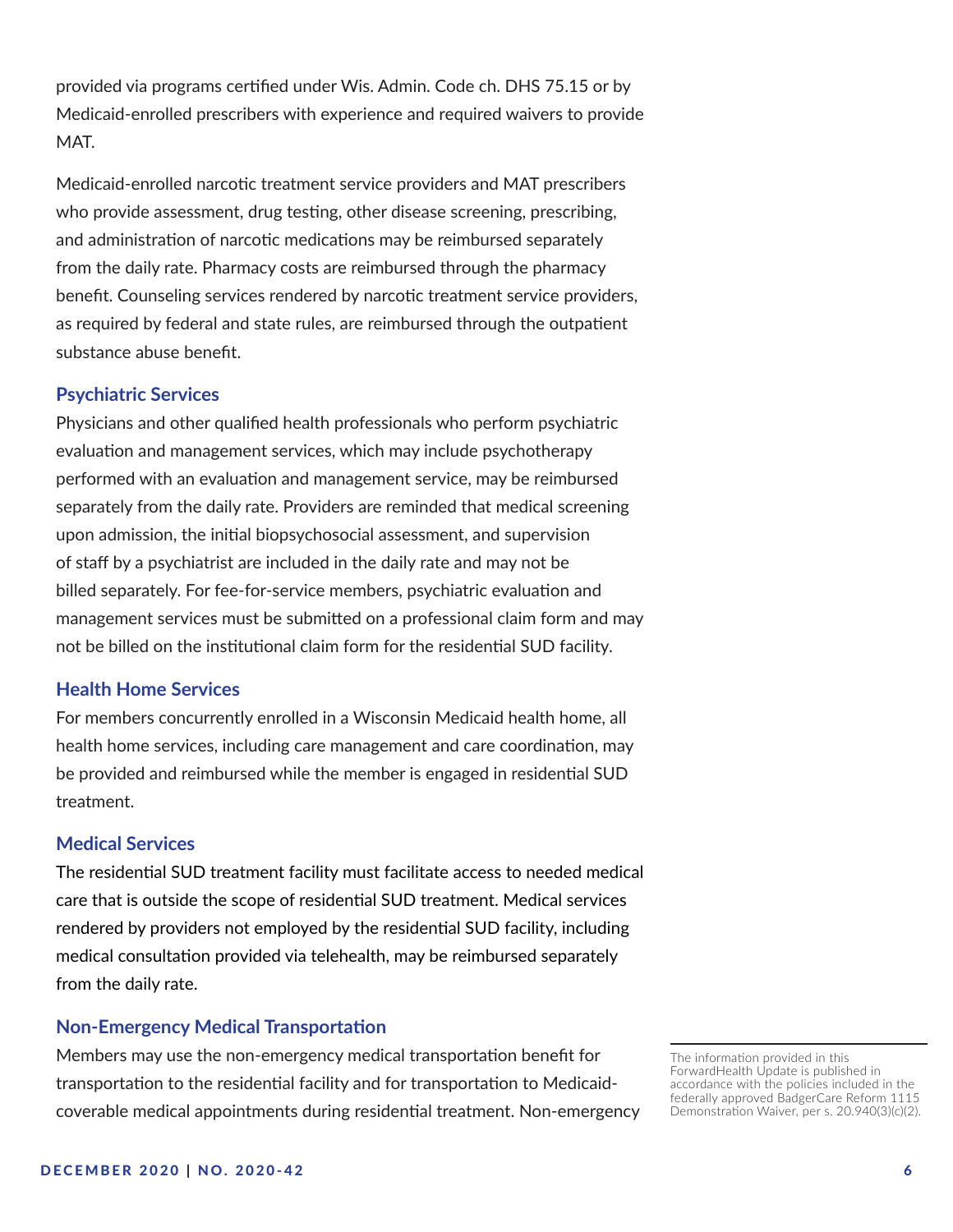provided via programs certified under Wis. Admin. Code ch. DHS 75.15 or by Medicaid-enrolled prescribers with experience and required waivers to provide MAT.

Medicaid-enrolled narcotic treatment service providers and MAT prescribers who provide assessment, drug testing, other disease screening, prescribing, and administration of narcotic medications may be reimbursed separately from the daily rate. Pharmacy costs are reimbursed through the pharmacy benefit. Counseling services rendered by narcotic treatment service providers, as required by federal and state rules, are reimbursed through the outpatient substance abuse benefit.

#### **Psychiatric Services**

Physicians and other qualified health professionals who perform psychiatric evaluation and management services, which may include psychotherapy performed with an evaluation and management service, may be reimbursed separately from the daily rate. Providers are reminded that medical screening upon admission, the initial biopsychosocial assessment, and supervision of staff by a psychiatrist are included in the daily rate and may not be billed separately. For fee-for-service members, psychiatric evaluation and management services must be submitted on a professional claim form and may not be billed on the institutional claim form for the residential SUD facility.

#### **Health Home Services**

For members concurrently enrolled in a Wisconsin Medicaid health home, all health home services, including care management and care coordination, may be provided and reimbursed while the member is engaged in residential SUD treatment.

#### **Medical Services**

The residential SUD treatment facility must facilitate access to needed medical care that is outside the scope of residential SUD treatment. Medical services rendered by providers not employed by the residential SUD facility, including medical consultation provided via telehealth, may be reimbursed separately from the daily rate.

#### **Non-Emergency Medical Transportation**

Members may use the non-emergency medical transportation benefit for transportation to the residential facility and for transportation to Medicaidcoverable medical appointments during residential treatment. Non-emergency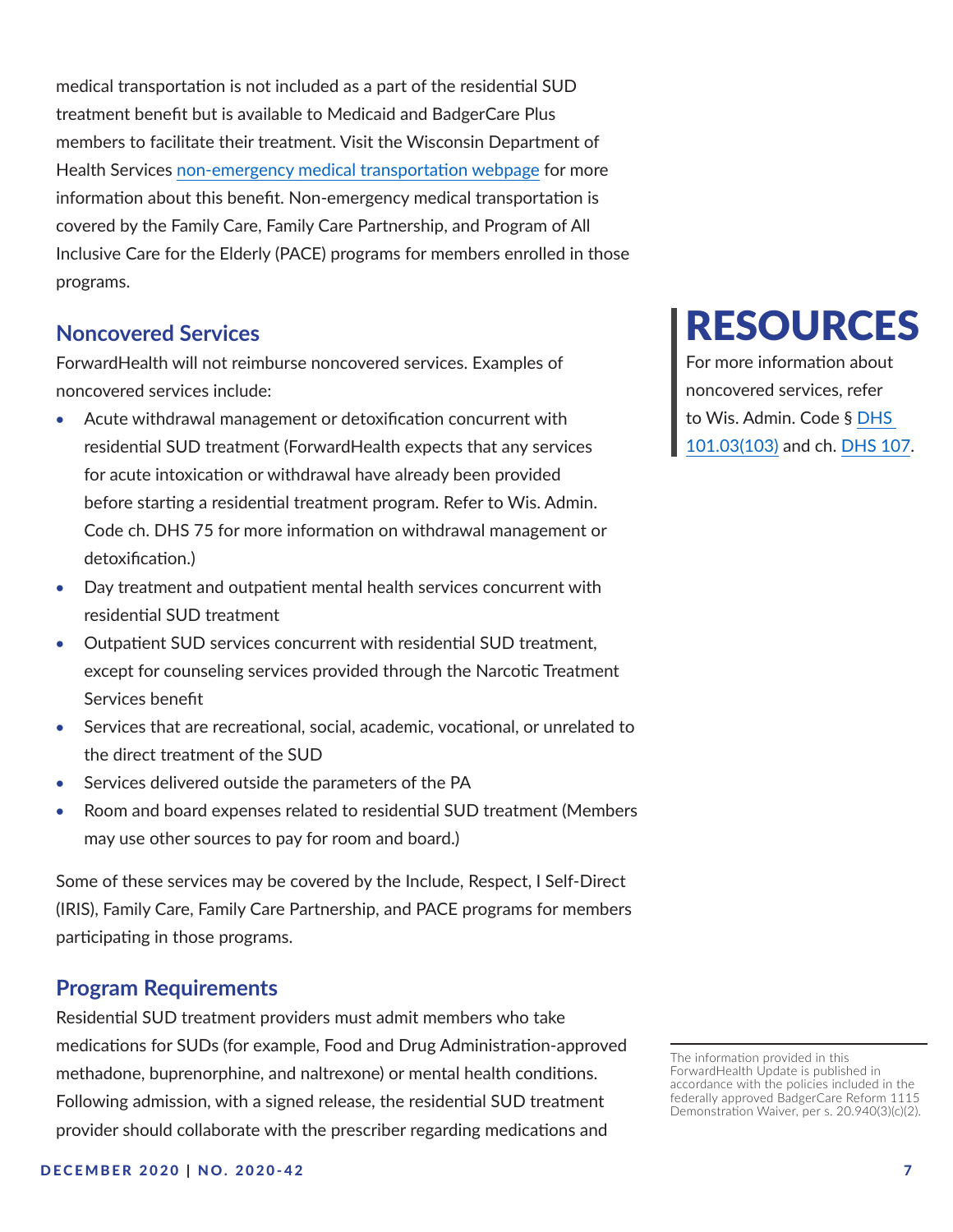<span id="page-6-0"></span>medical transportation is not included as a part of the residential SUD treatment benefit but is available to Medicaid and BadgerCare Plus members to facilitate their treatment. Visit the Wisconsin Department of Health Services [non-emergency medical transportation webpage](https://www.dhs.wisconsin.gov/nemt/index.htm) for more information about this benefit. Non-emergency medical transportation is covered by the Family Care, Family Care Partnership, and Program of All Inclusive Care for the Elderly (PACE) programs for members enrolled in those programs.

# **Noncovered Services**

ForwardHealth will not reimburse noncovered services. Examples of noncovered services include:

- Acute withdrawal management or detoxification concurrent with residential SUD treatment (ForwardHealth expects that any services for acute intoxication or withdrawal have already been provided before starting a residential treatment program. Refer to Wis. Admin. Code ch. DHS 75 for more information on withdrawal management or detoxification.)
- Day treatment and outpatient mental health services concurrent with residential SUD treatment
- Outpatient SUD services concurrent with residential SUD treatment, except for counseling services provided through the Narcotic Treatment Services benefit
- Services that are recreational, social, academic, vocational, or unrelated to the direct treatment of the SUD
- Services delivered outside the parameters of the PA
- Room and board expenses related to residential SUD treatment (Members may use other sources to pay for room and board.)

Some of these services may be covered by the Include, Respect, I Self-Direct (IRIS), Family Care, Family Care Partnership, and PACE programs for members participating in those programs.

# **Program Requirements**

Residential SUD treatment providers must admit members who take medications for SUDs (for example, Food and Drug Administration-approved methadone, buprenorphine, and naltrexone) or mental health conditions. Following admission, with a signed release, the residential SUD treatment provider should collaborate with the prescriber regarding medications and

# RESOURCES

For more information about noncovered services, refer to Wis. Admin. Code § [DHS](https://docs.legis.wisconsin.gov/code/admin_code/dhs/101/101/03/103)  [101.03\(103\)](https://docs.legis.wisconsin.gov/code/admin_code/dhs/101/101/03/103) and ch. [DHS 107](https://docs.legis.wisconsin.gov/code/admin_code/dhs/101/107).

The information provided in this ForwardHealth Update is published in accordance with the policies included in the federally approved BadgerCare Reform 1115 Demonstration Waiver, per s. 20.940(3)(c)(2).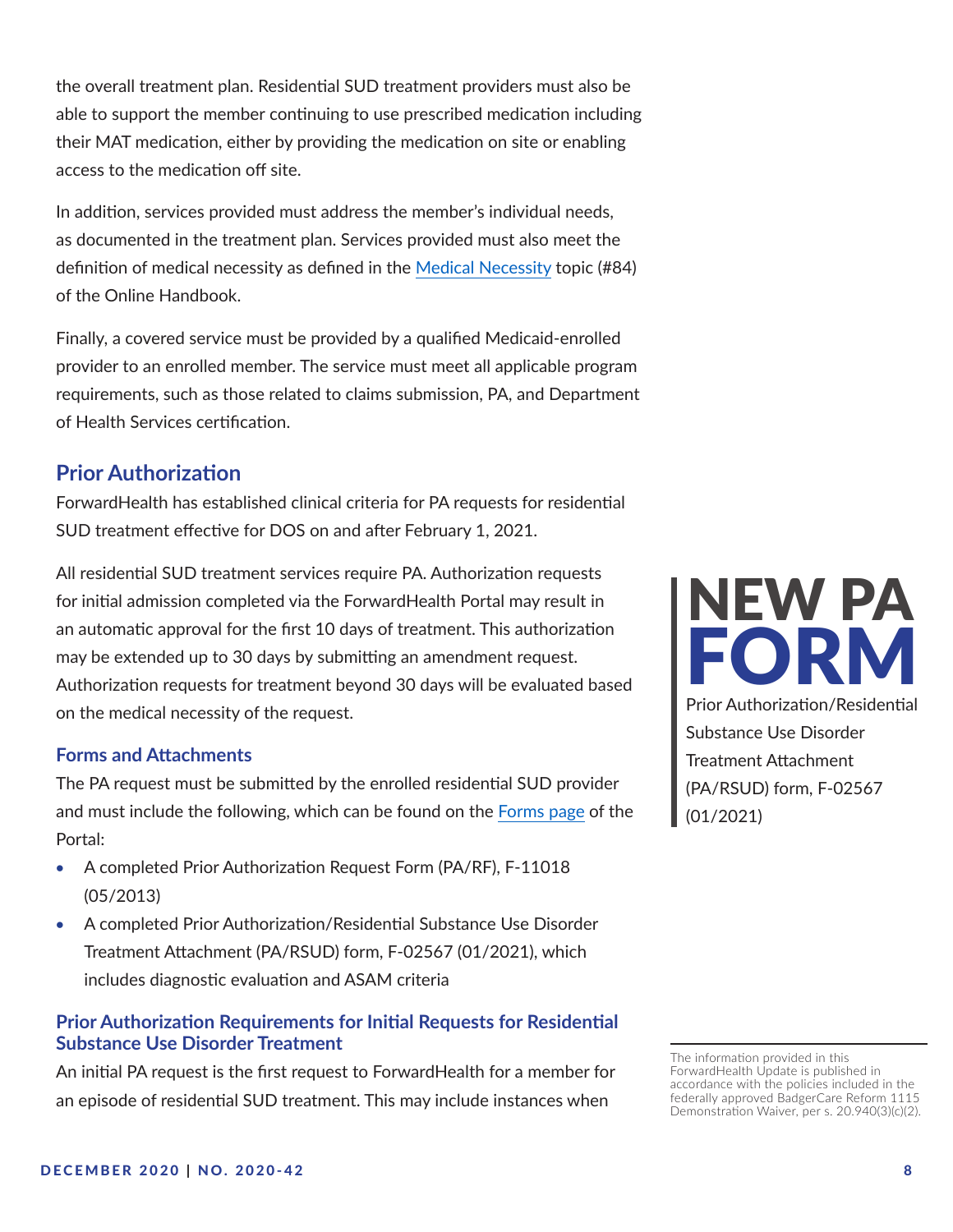<span id="page-7-0"></span>the overall treatment plan. Residential SUD treatment providers must also be able to support the member continuing to use prescribed medication including their MAT medication, either by providing the medication on site or enabling access to the medication off site.

In addition, services provided must address the member's individual needs, as documented in the treatment plan. Services provided must also meet the definition of medical necessity as defined in the [Medical Necessity](https://www.forwardhealth.wi.gov/WIPortal/Subsystem/KW/Display.aspx?ia=1&p=1&sa=50&s=2&c=61&nt=Medical+Necessity&adv=Y) topic (#84) of the Online Handbook.

Finally, a covered service must be provided by a qualified Medicaid-enrolled provider to an enrolled member. The service must meet all applicable program requirements, such as those related to claims submission, PA, and Department of Health Services certification.

# **Prior Authorization**

ForwardHealth has established clinical criteria for PA requests for residential SUD treatment effective for DOS on and after February 1, 2021.

All residential SUD treatment services require PA. Authorization requests for initial admission completed via the ForwardHealth Portal may result in an automatic approval for the first 10 days of treatment. This authorization may be extended up to 30 days by submitting an amendment request. Authorization requests for treatment beyond 30 days will be evaluated based on the medical necessity of the request.

#### **Forms and Attachments**

The PA request must be submitted by the enrolled residential SUD provider and must include the following, which can be found on the F[orms page](https://www.forwardhealth.wi.gov/WIPortal/Subsystem/Publications/ForwardHealthCommunications.aspx?panel=Forms) of the Portal:

- A completed Prior Authorization Request Form (PA/RF), F-11018 (05/2013)
- A completed Prior Authorization/Residential Substance Use Disorder Treatment Attachment (PA/RSUD) form, F-02567 (01/2021), which includes diagnostic evaluation and ASAM criteria

#### **Prior Authorization Requirements for Initial Requests for Residential Substance Use Disorder Treatment**

An initial PA request is the first request to ForwardHealth for a member for an episode of residential SUD treatment. This may include instances when



The information provided in this ForwardHealth Update is published in accordance with the policies included in the federally approved BadgerCare Reform 1115 Demonstration Waiver, per s. 20.940(3)(c)(2).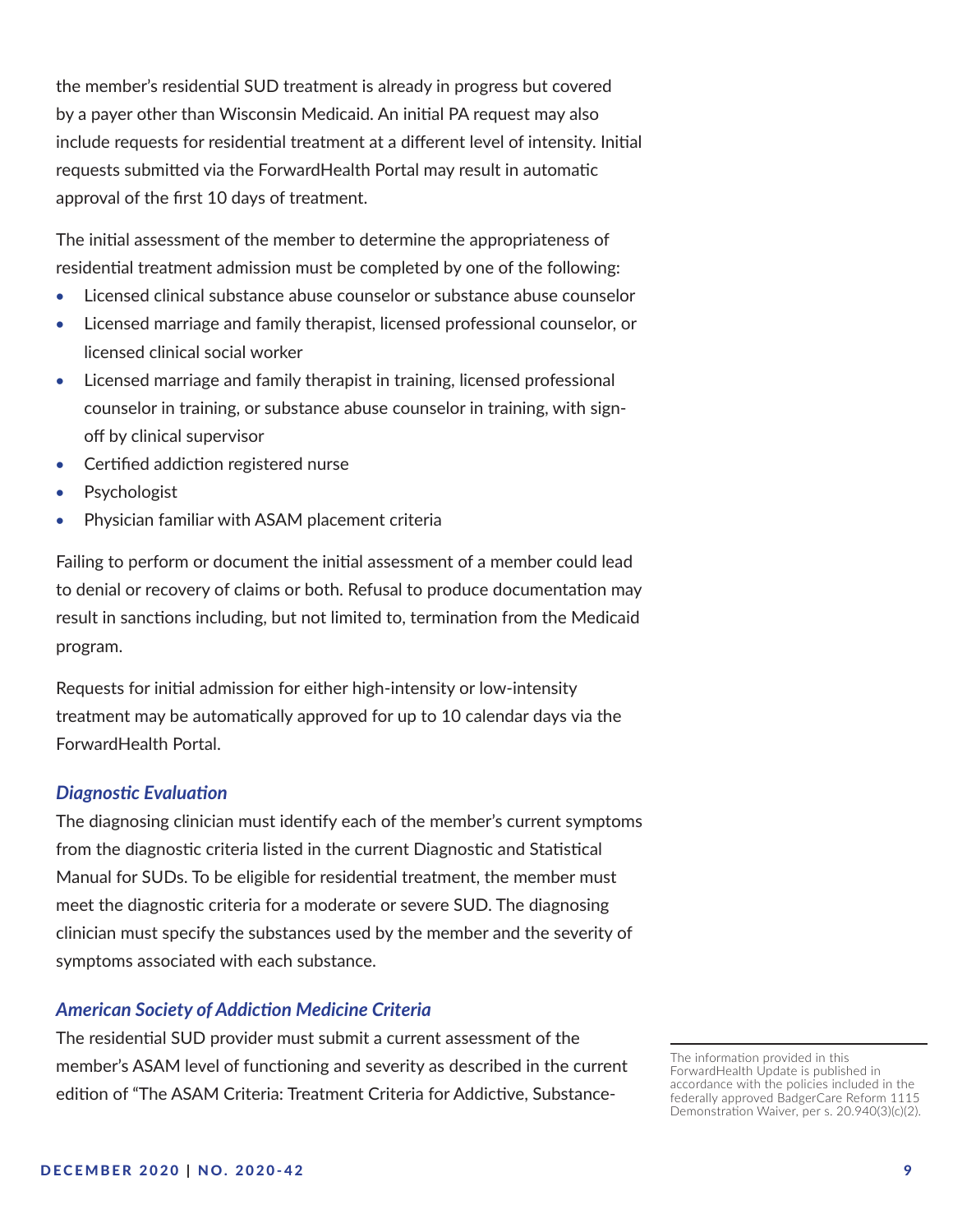the member's residential SUD treatment is already in progress but covered by a payer other than Wisconsin Medicaid. An initial PA request may also include requests for residential treatment at a different level of intensity. Initial requests submitted via the ForwardHealth Portal may result in automatic approval of the first 10 days of treatment.

The initial assessment of the member to determine the appropriateness of residential treatment admission must be completed by one of the following:

- • Licensed clinical substance abuse counselor or substance abuse counselor
- Licensed marriage and family therapist, licensed professional counselor, or licensed clinical social worker
- Licensed marriage and family therapist in training, licensed professional counselor in training, or substance abuse counselor in training, with signoff by clinical supervisor
- Certified addiction registered nurse
- **Psychologist**
- Physician familiar with ASAM placement criteria

Failing to perform or document the initial assessment of a member could lead to denial or recovery of claims or both. Refusal to produce documentation may result in sanctions including, but not limited to, termination from the Medicaid program.

Requests for initial admission for either high-intensity or low-intensity treatment may be automatically approved for up to 10 calendar days via the ForwardHealth Portal.

#### *Diagnostic Evaluation*

The diagnosing clinician must identify each of the member's current symptoms from the diagnostic criteria listed in the current Diagnostic and Statistical Manual for SUDs. To be eligible for residential treatment, the member must meet the diagnostic criteria for a moderate or severe SUD. The diagnosing clinician must specify the substances used by the member and the severity of symptoms associated with each substance.

#### *American Society of Addiction Medicine Criteria*

The residential SUD provider must submit a current assessment of the member's ASAM level of functioning and severity as described in the current edition of "The ASAM Criteria: Treatment Criteria for Addictive, Substance-

The information provided in this ForwardHealth Update is published in accordance with the policies included in the federally approved BadgerCare Reform 1115 Demonstration Waiver, per s. 20.940(3)(c)(2).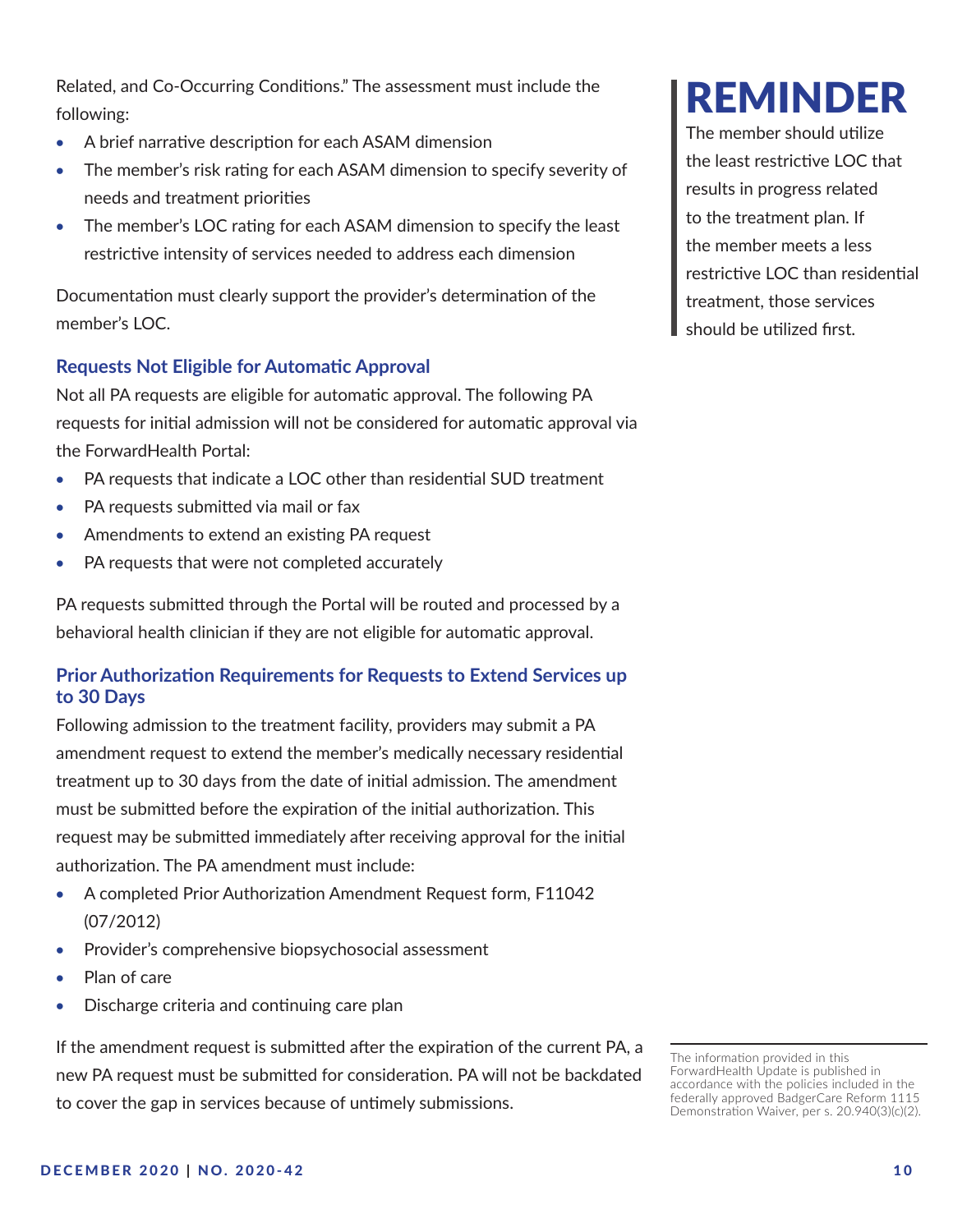<span id="page-9-0"></span>Related, and Co-Occurring Conditions." The assessment must include the following:

- A brief narrative description for each ASAM dimension
- The member's risk rating for each ASAM dimension to specify severity of needs and treatment priorities
- The member's LOC rating for each ASAM dimension to specify the least restrictive intensity of services needed to address each dimension

Documentation must clearly support the provider's determination of the member's LOC.

## **Requests Not Eligible for Automatic Approval**

Not all PA requests are eligible for automatic approval. The following PA requests for initial admission will not be considered for automatic approval via the ForwardHealth Portal:

- PA requests that indicate a LOC other than residential SUD treatment
- PA requests submitted via mail or fax
- Amendments to extend an existing PA request
- PA requests that were not completed accurately

PA requests submitted through the Portal will be routed and processed by a behavioral health clinician if they are not eligible for automatic approval.

## **Prior Authorization Requirements for Requests to Extend Services up to 30 Days**

Following admission to the treatment facility, providers may submit a PA amendment request to extend the member's medically necessary residential treatment up to 30 days from the date of initial admission. The amendment must be submitted before the expiration of the initial authorization. This request may be submitted immediately after receiving approval for the initial authorization. The PA amendment must include:

- A completed Prior Authorization Amendment Request form, F11042 (07/2012)
- Provider's comprehensive biopsychosocial assessment
- • Plan of care
- Discharge criteria and continuing care plan

If the amendment request is submitted after the expiration of the current PA, a new PA request must be submitted for consideration. PA will not be backdated to cover the gap in services because of untimely submissions.

# REMINDER

The member should utilize the least restrictive LOC that results in progress related to the treatment plan. If the member meets a less restrictive LOC than residential treatment, those services should be utilized first.

The information provided in this ForwardHealth Update is published in accordance with the policies included in the federally approved BadgerCare Reform 1115 Demonstration Waiver, per s. 20.940(3)(c)(2).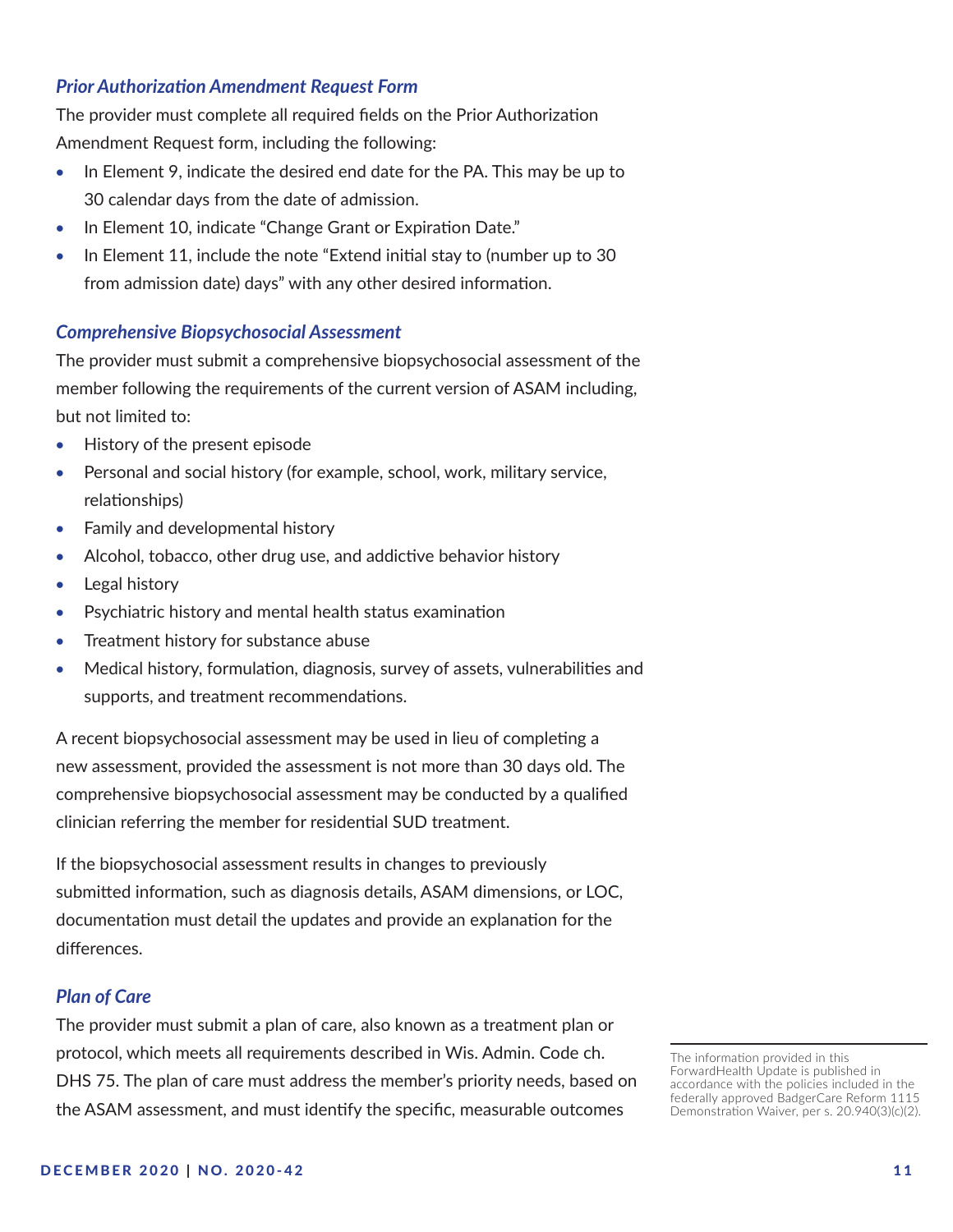#### *Prior Authorization Amendment Request Form*

The provider must complete all required fields on the Prior Authorization Amendment Request form, including the following:

- In Element 9, indicate the desired end date for the PA. This may be up to 30 calendar days from the date of admission.
- In Element 10, indicate "Change Grant or Expiration Date."
- In Element 11, include the note "Extend initial stay to (number up to 30 from admission date) days" with any other desired information.

#### *Comprehensive Biopsychosocial Assessment*

The provider must submit a comprehensive biopsychosocial assessment of the member following the requirements of the current version of ASAM including, but not limited to:

- History of the present episode
- Personal and social history (for example, school, work, military service, relationships)
- Family and developmental history
- Alcohol, tobacco, other drug use, and addictive behavior history
- Legal history
- Psychiatric history and mental health status examination
- Treatment history for substance abuse
- Medical history, formulation, diagnosis, survey of assets, vulnerabilities and supports, and treatment recommendations.

A recent biopsychosocial assessment may be used in lieu of completing a new assessment, provided the assessment is not more than 30 days old. The comprehensive biopsychosocial assessment may be conducted by a qualified clinician referring the member for residential SUD treatment.

If the biopsychosocial assessment results in changes to previously submitted information, such as diagnosis details, ASAM dimensions, or LOC, documentation must detail the updates and provide an explanation for the differences.

#### *Plan of Care*

The provider must submit a plan of care, also known as a treatment plan or protocol, which meets all requirements described in Wis. Admin. Code ch. DHS 75. The plan of care must address the member's priority needs, based on the ASAM assessment, and must identify the specific, measurable outcomes

The information provided in this ForwardHealth Update is published in accordance with the policies included in the federally approved BadgerCare Reform 1115 Demonstration Waiver, per s. 20.940(3)(c)(2).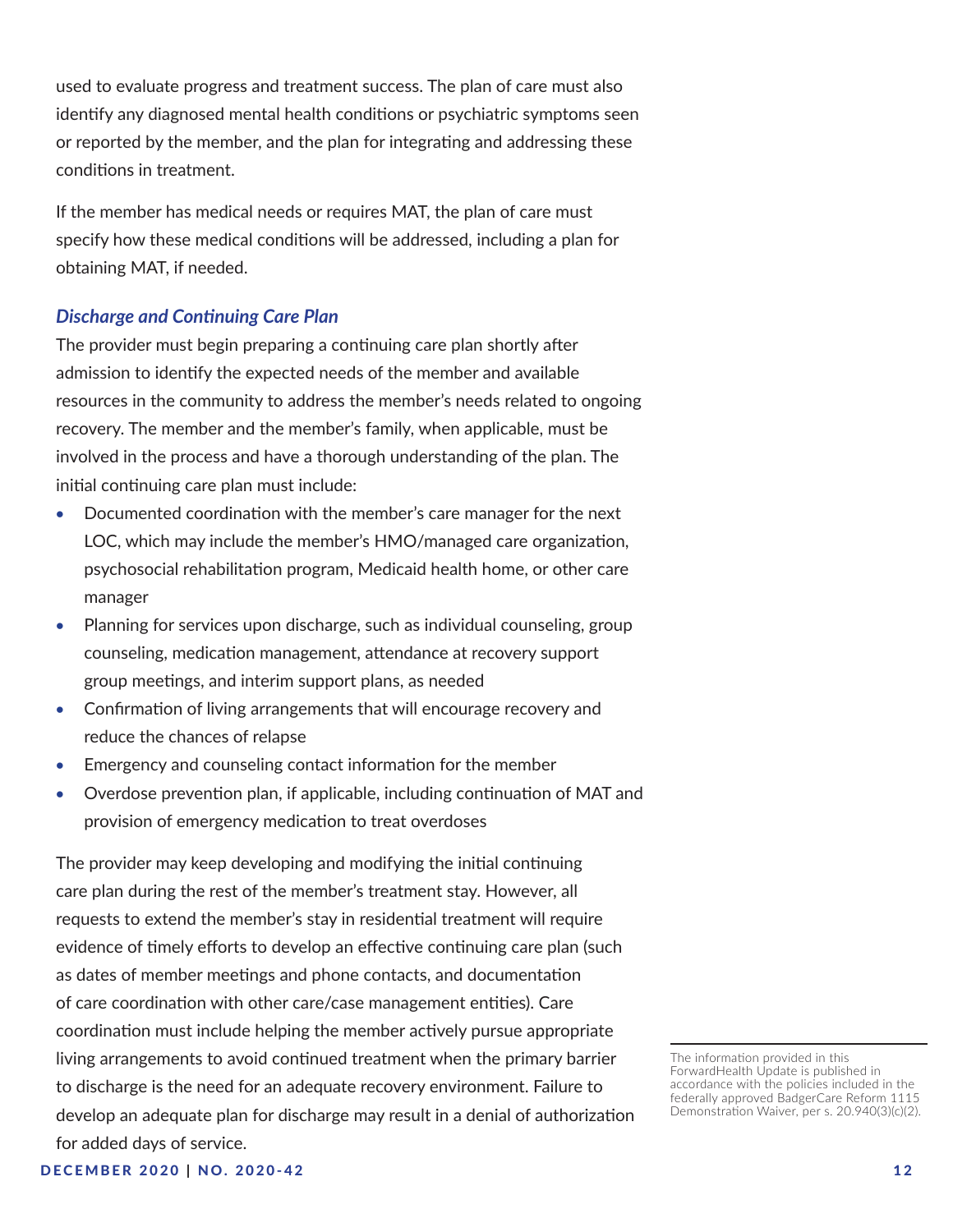used to evaluate progress and treatment success. The plan of care must also identify any diagnosed mental health conditions or psychiatric symptoms seen or reported by the member, and the plan for integrating and addressing these conditions in treatment.

If the member has medical needs or requires MAT, the plan of care must specify how these medical conditions will be addressed, including a plan for obtaining MAT, if needed.

#### *Discharge and Continuing Care Plan*

The provider must begin preparing a continuing care plan shortly after admission to identify the expected needs of the member and available resources in the community to address the member's needs related to ongoing recovery. The member and the member's family, when applicable, must be involved in the process and have a thorough understanding of the plan. The initial continuing care plan must include:

- Documented coordination with the member's care manager for the next LOC, which may include the member's HMO/managed care organization, psychosocial rehabilitation program, Medicaid health home, or other care manager
- Planning for services upon discharge, such as individual counseling, group counseling, medication management, attendance at recovery support group meetings, and interim support plans, as needed
- Confirmation of living arrangements that will encourage recovery and reduce the chances of relapse
- Emergency and counseling contact information for the member
- Overdose prevention plan, if applicable, including continuation of MAT and provision of emergency medication to treat overdoses

The provider may keep developing and modifying the initial continuing care plan during the rest of the member's treatment stay. However, all requests to extend the member's stay in residential treatment will require evidence of timely efforts to develop an effective continuing care plan (such as dates of member meetings and phone contacts, and documentation of care coordination with other care/case management entities). Care coordination must include helping the member actively pursue appropriate living arrangements to avoid continued treatment when the primary barrier to discharge is the need for an adequate recovery environment. Failure to develop an adequate plan for discharge may result in a denial of authorization for added days of service.

The information provided in this ForwardHealth Update is published in accordance with the policies included in the federally approved BadgerCare Reform 1115 Demonstration Waiver, per s. 20.940(3)(c)(2).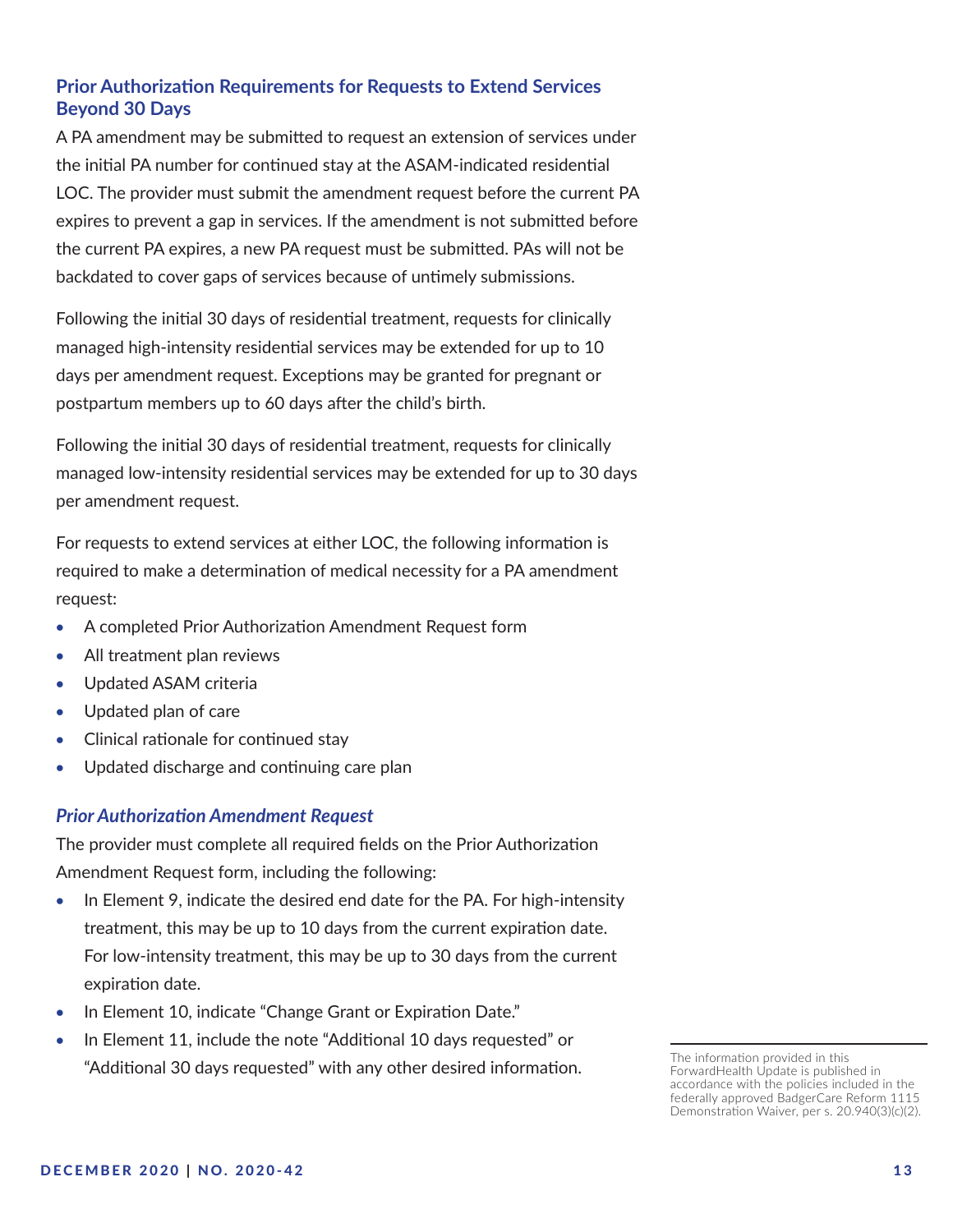# **Prior Authorization Requirements for Requests to Extend Services Beyond 30 Days**

A PA amendment may be submitted to request an extension of services under the initial PA number for continued stay at the ASAM-indicated residential LOC. The provider must submit the amendment request before the current PA expires to prevent a gap in services. If the amendment is not submitted before the current PA expires, a new PA request must be submitted. PAs will not be backdated to cover gaps of services because of untimely submissions.

Following the initial 30 days of residential treatment, requests for clinically managed high-intensity residential services may be extended for up to 10 days per amendment request. Exceptions may be granted for pregnant or postpartum members up to 60 days after the child's birth.

Following the initial 30 days of residential treatment, requests for clinically managed low-intensity residential services may be extended for up to 30 days per amendment request.

For requests to extend services at either LOC, the following information is required to make a determination of medical necessity for a PA amendment request:

- A completed Prior Authorization Amendment Request form
- All treatment plan reviews
- • Updated ASAM criteria
- Updated plan of care
- • Clinical rationale for continued stay
- Updated discharge and continuing care plan

#### *Prior Authorization Amendment Request*

The provider must complete all required fields on the Prior Authorization Amendment Request form, including the following:

- In Element 9, indicate the desired end date for the PA. For high-intensity treatment, this may be up to 10 days from the current expiration date. For low-intensity treatment, this may be up to 30 days from the current expiration date.
- In Element 10, indicate "Change Grant or Expiration Date."
- In Element 11, include the note "Additional 10 days requested" or "Additional 30 days requested" with any other desired information.

The information provided in this ForwardHealth Update is published in accordance with the policies included in the federally approved BadgerCare Reform 1115 Demonstration Waiver, per s. 20.940(3)(c)(2).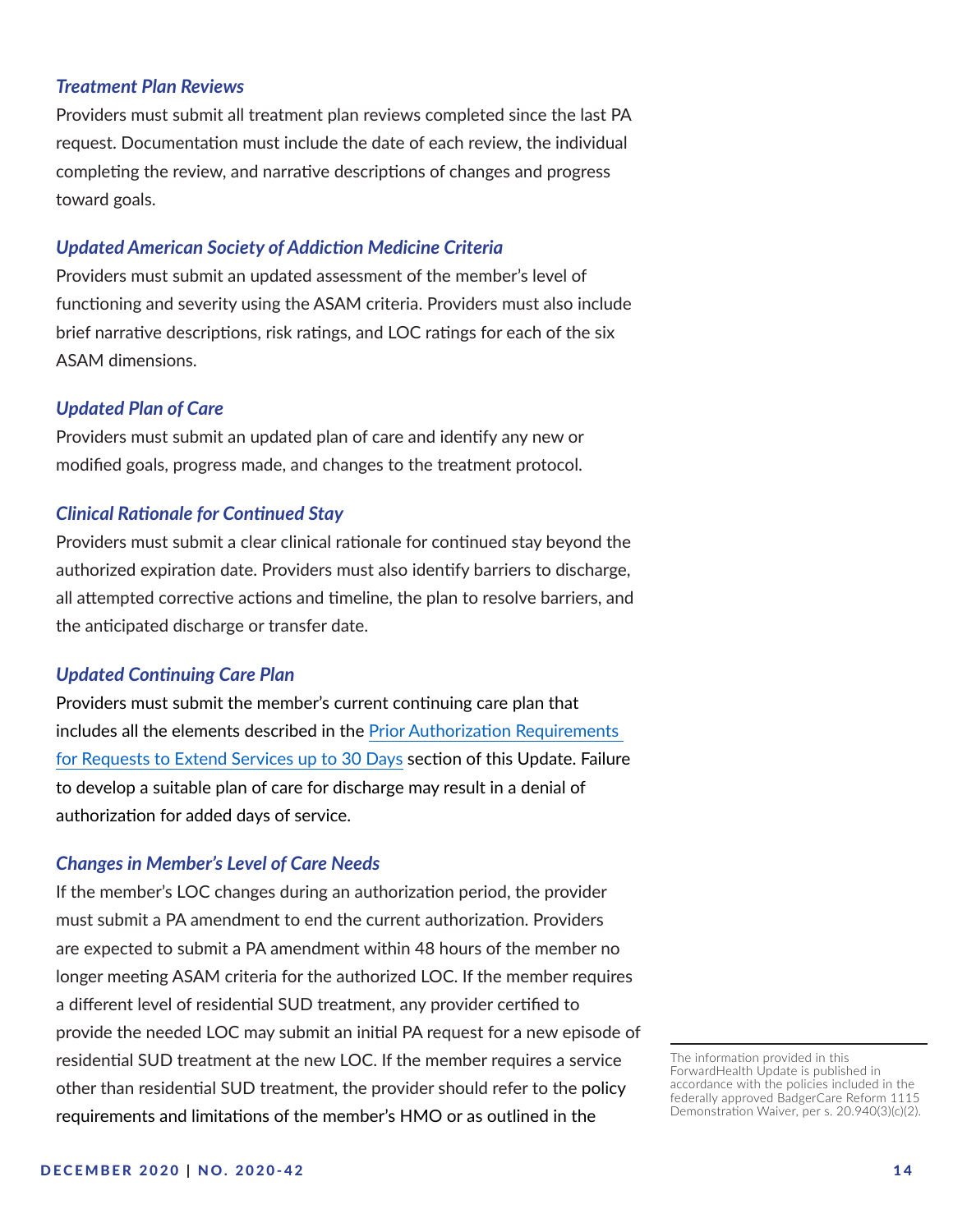#### *Treatment Plan Reviews*

Providers must submit all treatment plan reviews completed since the last PA request. Documentation must include the date of each review, the individual completing the review, and narrative descriptions of changes and progress toward goals.

#### *Updated American Society of Addiction Medicine Criteria*

Providers must submit an updated assessment of the member's level of functioning and severity using the ASAM criteria. Providers must also include brief narrative descriptions, risk ratings, and LOC ratings for each of the six ASAM dimensions.

#### *Updated Plan of Care*

Providers must submit an updated plan of care and identify any new or modified goals, progress made, and changes to the treatment protocol.

#### *Clinical Rationale for Continued Stay*

Providers must submit a clear clinical rationale for continued stay beyond the authorized expiration date. Providers must also identify barriers to discharge, all attempted corrective actions and timeline, the plan to resolve barriers, and the anticipated discharge or transfer date.

#### *Updated Continuing Care Plan*

Providers must submit the member's current continuing care plan that includes all the elements described in the [Prior Authorization Requirements](#page-9-0)  [for Requests to Extend Services up to 30 Days](#page-9-0) section of this Update. Failure to develop a suitable plan of care for discharge may result in a denial of authorization for added days of service.

#### *Changes in Member's Level of Care Needs*

If the member's LOC changes during an authorization period, the provider must submit a PA amendment to end the current authorization. Providers are expected to submit a PA amendment within 48 hours of the member no longer meeting ASAM criteria for the authorized LOC. If the member requires a different level of residential SUD treatment, any provider certified to provide the needed LOC may submit an initial PA request for a new episode of residential SUD treatment at the new LOC. If the member requires a service other than residential SUD treatment, the provider should refer to the policy requirements and limitations of the member's HMO or as outlined in the

The information provided in this ForwardHealth Update is published in accordance with the policies included in the federally approved BadgerCare Reform 1115 Demonstration Waiver, per s. 20.940(3)(c)(2).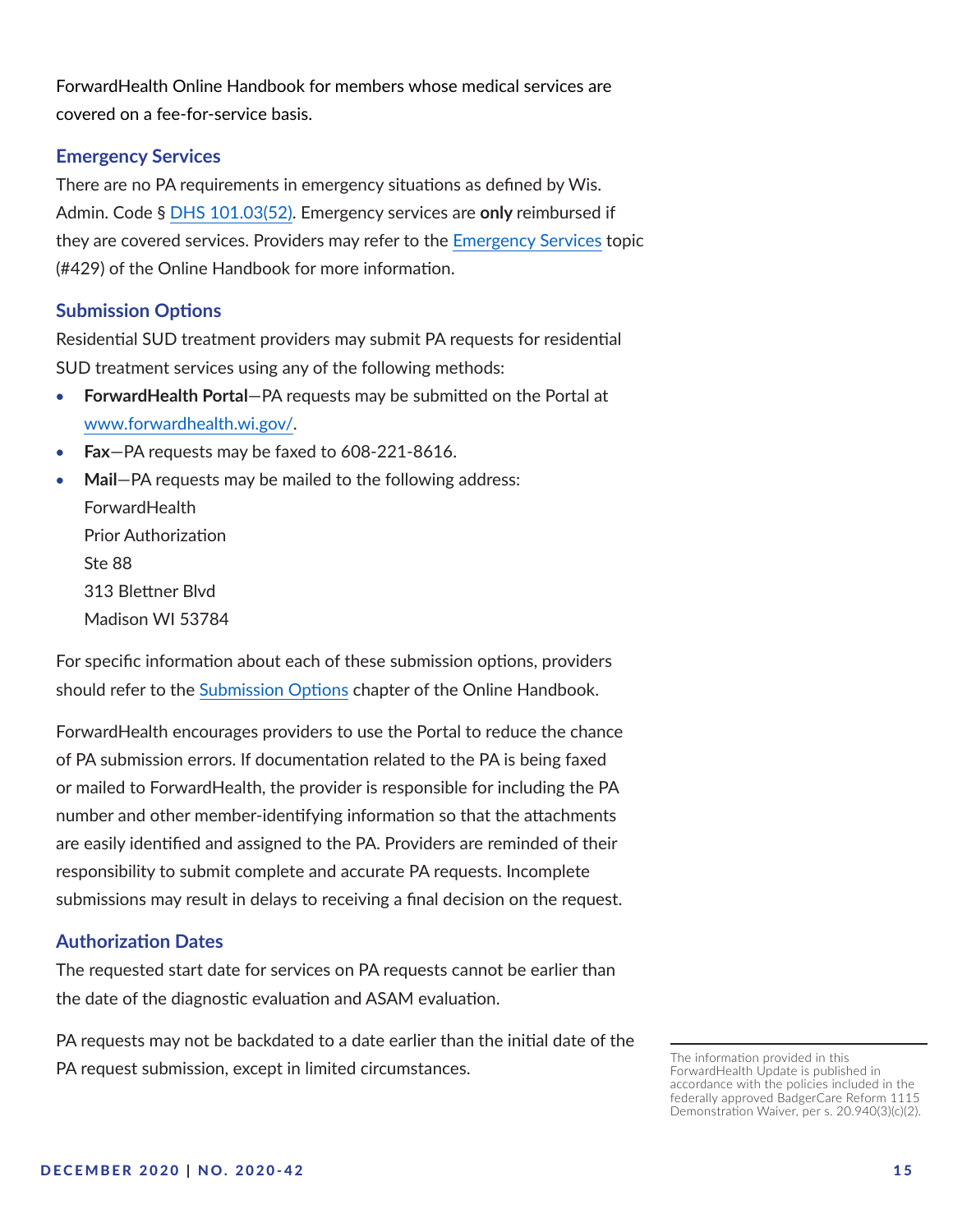ForwardHealth Online Handbook for members whose medical services are covered on a fee-for-service basis.

#### **Emergency Services**

There are no PA requirements in emergency situations as defined by Wis. Admin. Code § [DHS 101.03\(52\).](https://docs.legis.wisconsin.gov/code/admin_code/dhs/101/101/03/52) Emergency services are **only** reimbursed if they are covered services. Providers may refer to the [Emergency Services](https://www.forwardhealth.wi.gov/WIPortal/Subsystem/KW/Display.aspx?ia=1&p=1&sa=50&s=3&c=19&nt=Emergency+Services) topic (#429) of the Online Handbook for more information.

#### **Submission Options**

Residential SUD treatment providers may submit PA requests for residential SUD treatment services using any of the following methods:

- **ForwardHealth Portal**—PA requests may be submitted on the Portal at [www.forwardhealth.wi.gov/](https://www.forwardhealth.wi.gov/WIPortal/).
- **Fax-PA requests may be faxed to 608-221-8616.**
- Mail–PA requests may be mailed to the following address: **ForwardHealth**

Prior Authorization Ste 88 313 Blettner Blvd Madison WI 53784

For specific information about each of these submission options, providers should refer to the [Submission Options](https://www.forwardhealth.wi.gov/WIPortal/Subsystem/KW/Display.aspx?ia=1&p=1&sa=50&s=3&c=201) chapter of the Online Handbook.

ForwardHealth encourages providers to use the Portal to reduce the chance of PA submission errors. If documentation related to the PA is being faxed or mailed to ForwardHealth, the provider is responsible for including the PA number and other member-identifying information so that the attachments are easily identified and assigned to the PA. Providers are reminded of their responsibility to submit complete and accurate PA requests. Incomplete submissions may result in delays to receiving a final decision on the request.

#### **Authorization Dates**

The requested start date for services on PA requests cannot be earlier than the date of the diagnostic evaluation and ASAM evaluation.

PA requests may not be backdated to a date earlier than the initial date of the PA request submission, except in limited circumstances.

The information provided in this ForwardHealth Update is published in accordance with the policies included in the federally approved BadgerCare Reform 1115 Demonstration Waiver, per s. 20.940(3)(c)(2).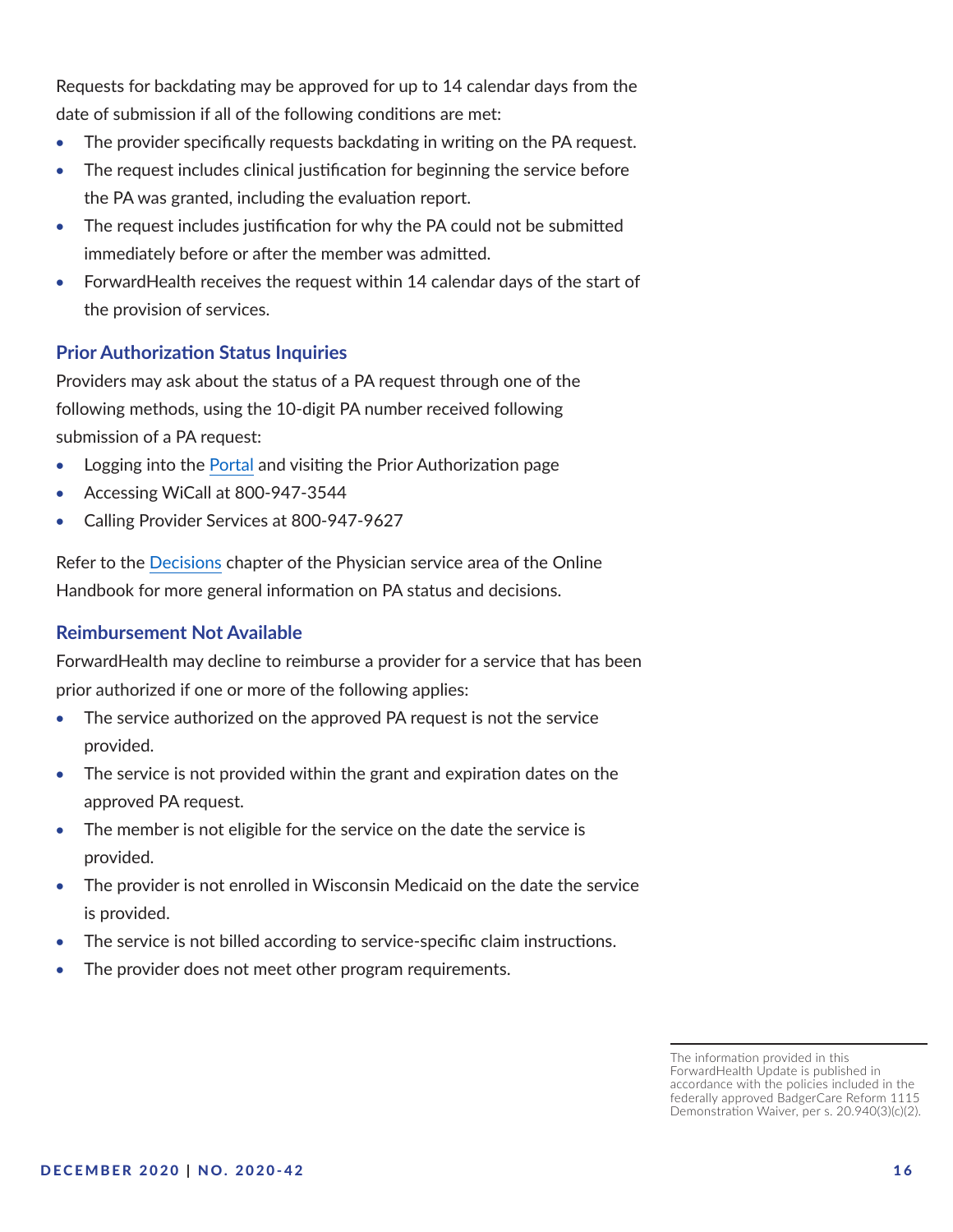Requests for backdating may be approved for up to 14 calendar days from the date of submission if all of the following conditions are met:

- The provider specifically requests backdating in writing on the PA request.
- The request includes clinical justification for beginning the service before the PA was granted, including the evaluation report.
- The request includes justification for why the PA could not be submitted immediately before or after the member was admitted.
- ForwardHealth receives the request within 14 calendar days of the start of the provision of services.

## **Prior Authorization Status Inquiries**

Providers may ask about the status of a PA request through one of the following methods, using the 10-digit PA number received following submission of a PA request:

- Logging into the [Portal](https://www.forwardhealth.wi.gov/WIPortal/Default.aspx) and visiting the Prior Authorization page
- Accessing WiCall at 800-947-3544
- Calling Provider Services at 800-947-9627

Refer to the [Decisions](https://www.forwardhealth.wi.gov/WIPortal/Subsystem/KW/Display.aspx?ia=1&p=1&sa=50&s=3&c=15 ) chapter of the Physician service area of the Online Handbook for more general information on PA status and decisions.

#### **Reimbursement Not Available**

ForwardHealth may decline to reimburse a provider for a service that has been prior authorized if one or more of the following applies:

- The service authorized on the approved PA request is not the service provided.
- The service is not provided within the grant and expiration dates on the approved PA request.
- The member is not eligible for the service on the date the service is provided.
- The provider is not enrolled in Wisconsin Medicaid on the date the service is provided.
- The service is not billed according to service-specific claim instructions.
- The provider does not meet other program requirements.

The information provided in this ForwardHealth Update is published in accordance with the policies included in the federally approved BadgerCare Reform 1115 Demonstration Waiver, per s. 20.940(3)(c)(2).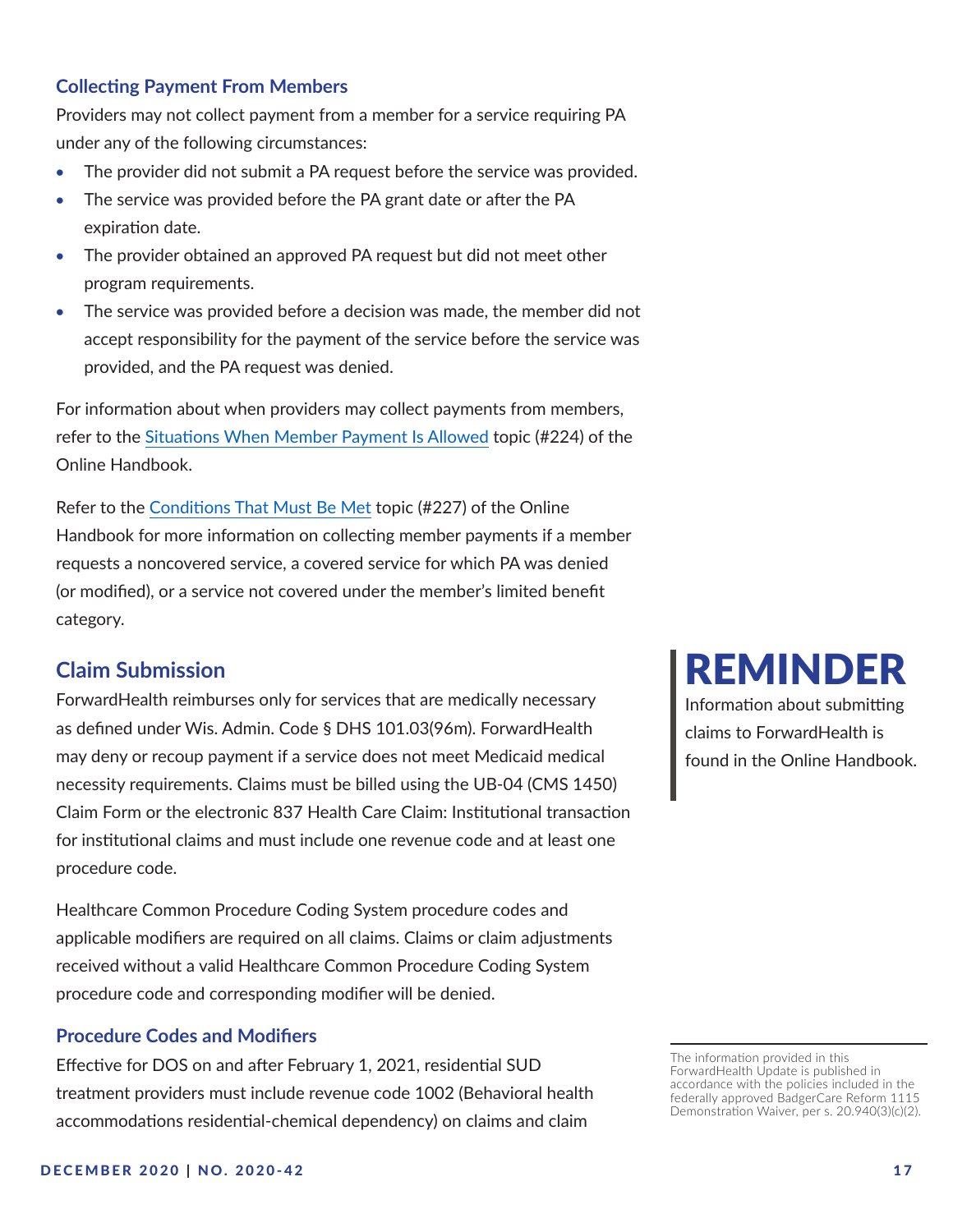#### <span id="page-16-0"></span>**Collecting Payment From Members**

Providers may not collect payment from a member for a service requiring PA under any of the following circumstances:

- The provider did not submit a PA request before the service was provided.
- The service was provided before the PA grant date or after the PA expiration date.
- The provider obtained an approved PA request but did not meet other program requirements.
- The service was provided before a decision was made, the member did not accept responsibility for the payment of the service before the service was provided, and the PA request was denied.

For information about when providers may collect payments from members, refer to the [Situations When Member Payment Is Allowed](https://www.forwardhealth.wi.gov/WIPortal/Subsystem/KW/Display.aspx?ia=1&p=1&sa=50&s=5&c=31&nt=Situations+When+Member+Payment+Is+Allowed&adv=Y) topic (#224) of the Online Handbook.

Refer to the [Conditions That Must Be Met](https://www.forwardhealth.wi.gov/WIPortal/Subsystem/KW/Display.aspx?ia=1&p=1&sa=50&s=5&c=31&nt=Conditions+That+Must+Be+Met&adv=Y) topic (#227) of the Online Handbook for more information on collecting member payments if a member requests a noncovered service, a covered service for which PA was denied (or modified), or a service not covered under the member's limited benefit category.

# **Claim Submission**

ForwardHealth reimburses only for services that are medically necessary as defined under Wis. Admin. Code § DHS 101.03(96m). ForwardHealth may deny or recoup payment if a service does not meet Medicaid medical necessity requirements. Claims must be billed using the UB-04 (CMS 1450) Claim Form or the electronic 837 Health Care Claim: Institutional transaction for institutional claims and must include one revenue code and at least one procedure code.

Healthcare Common Procedure Coding System procedure codes and applicable modifiers are required on all claims. Claims or claim adjustments received without a valid Healthcare Common Procedure Coding System procedure code and corresponding modifier will be denied.

#### **Procedure Codes and Modifiers**

Effective for DOS on and after February 1, 2021, residential SUD treatment providers must include revenue code 1002 (Behavioral health accommodations residential-chemical dependency) on claims and claim

# REMINDER

Information about submitting claims to ForwardHealth is found in the Online Handbook.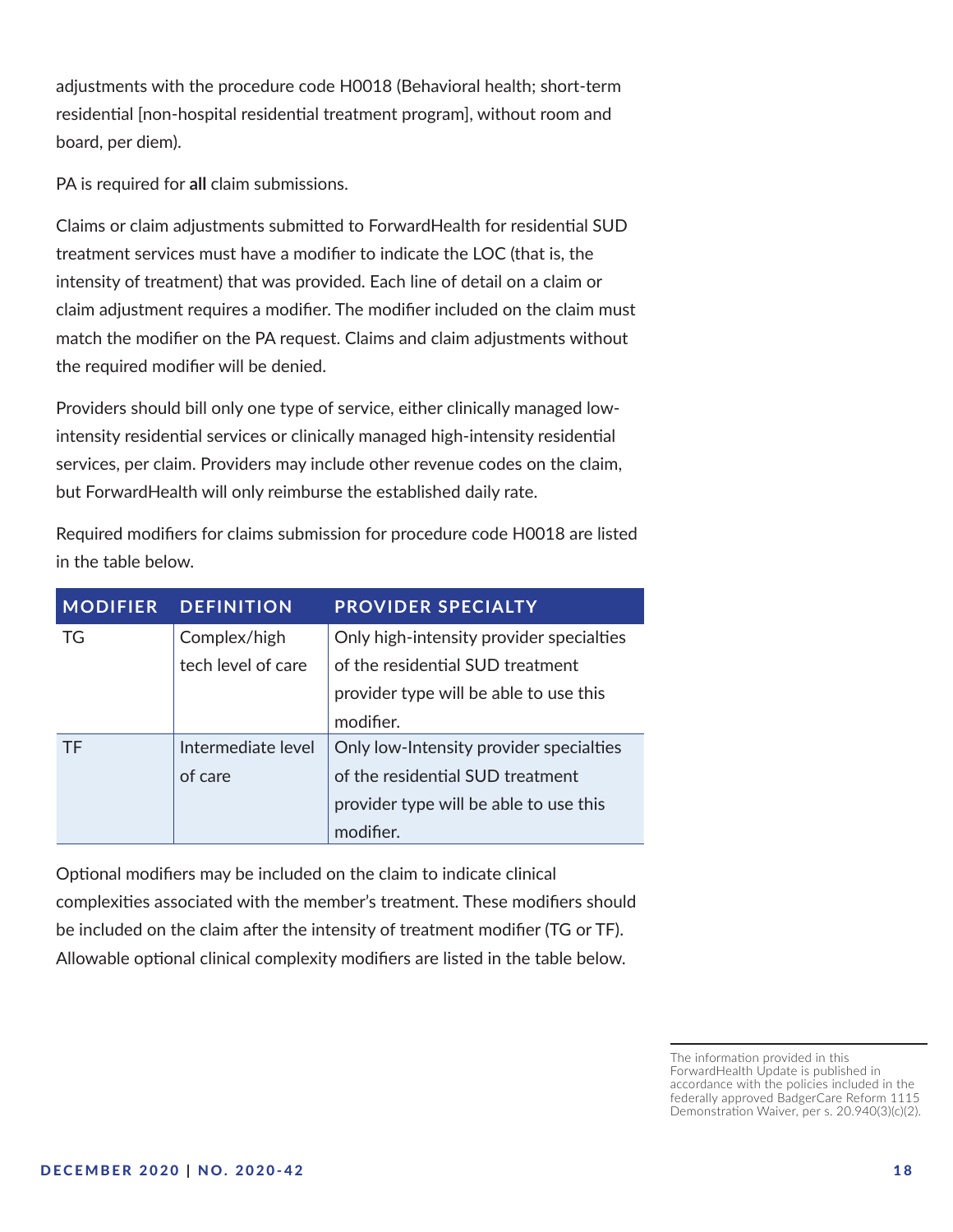adjustments with the procedure code H0018 (Behavioral health; short-term residential [non-hospital residential treatment program], without room and board, per diem).

PA is required for **all** claim submissions.

Claims or claim adjustments submitted to ForwardHealth for residential SUD treatment services must have a modifier to indicate the LOC (that is, the intensity of treatment) that was provided. Each line of detail on a claim or claim adjustment requires a modifier. The modifier included on the claim must match the modifier on the PA request. Claims and claim adjustments without the required modifier will be denied.

Providers should bill only one type of service, either clinically managed lowintensity residential services or clinically managed high-intensity residential services, per claim. Providers may include other revenue codes on the claim, but ForwardHealth will only reimburse the established daily rate.

| <b>MODIFIER</b> | <b>DEFINITION</b>  | <b>PROVIDER SPECIALTY</b>                |
|-----------------|--------------------|------------------------------------------|
| TG              | Complex/high       | Only high-intensity provider specialties |
|                 | tech level of care | of the residential SUD treatment         |
|                 |                    | provider type will be able to use this   |
|                 |                    | modifier.                                |
| <b>TF</b>       | Intermediate level | Only low-Intensity provider specialties  |
|                 | of care            | of the residential SUD treatment         |
|                 |                    | provider type will be able to use this   |
|                 |                    | modifier.                                |

Required modifiers for claims submission for procedure code H0018 are listed in the table below.

Optional modifiers may be included on the claim to indicate clinical complexities associated with the member's treatment. These modifiers should be included on the claim after the intensity of treatment modifier (TG or TF). Allowable optional clinical complexity modifiers are listed in the table below.

The information provided in this ForwardHealth Update is published in accordance with the policies included in the federally approved BadgerCare Reform 1115 Demonstration Waiver, per s. 20.940(3)(c)(2).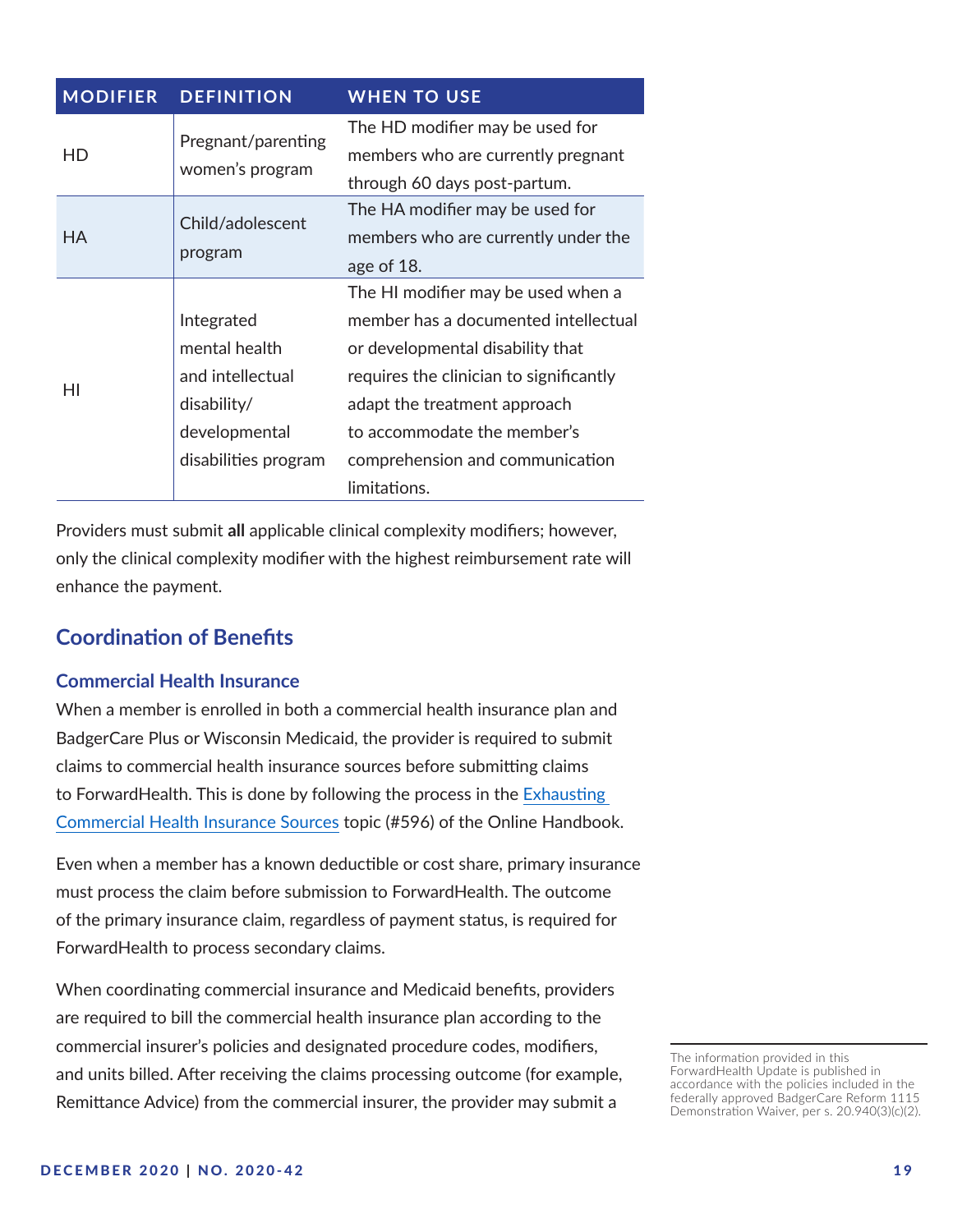| <b>MODIFIER</b> | <b>DEFINITION</b>                     | <b>WHEN TO USE</b>                      |
|-----------------|---------------------------------------|-----------------------------------------|
| HD              | Pregnant/parenting<br>women's program | The HD modifier may be used for         |
|                 |                                       | members who are currently pregnant      |
|                 |                                       | through 60 days post-partum.            |
| НA              | Child/adolescent<br>program           | The HA modifier may be used for         |
|                 |                                       | members who are currently under the     |
|                 |                                       | age of 18.                              |
| НI              |                                       | The HI modifier may be used when a      |
|                 | Integrated                            | member has a documented intellectual    |
|                 | mental health                         | or developmental disability that        |
|                 | and intellectual                      | requires the clinician to significantly |
|                 | disability/                           | adapt the treatment approach            |
|                 | developmental                         | to accommodate the member's             |
|                 | disabilities program                  | comprehension and communication         |
|                 |                                       | limitations.                            |

Providers must submit **all** applicable clinical complexity modifiers; however, only the clinical complexity modifier with the highest reimbursement rate will enhance the payment.

# **Coordination of Benefits**

#### **Commercial Health Insurance**

When a member is enrolled in both a commercial health insurance plan and BadgerCare Plus or Wisconsin Medicaid, the provider is required to submit claims to commercial health insurance sources before submitting claims to ForwardHealth. This is done by following the process in the [Exhausting](https://www.forwardhealth.wi.gov/WIPortal/Subsystem/KW/Display.aspx?ia=1&p=1&sa=50&s=7&c=41&nt=Exhausting+Commercial+Health+Insurance+Sources&adv=Y)  [Commercial Health Insurance Sources](https://www.forwardhealth.wi.gov/WIPortal/Subsystem/KW/Display.aspx?ia=1&p=1&sa=50&s=7&c=41&nt=Exhausting+Commercial+Health+Insurance+Sources&adv=Y) topic (#596) of the Online Handbook.

Even when a member has a known deductible or cost share, primary insurance must process the claim before submission to ForwardHealth. The outcome of the primary insurance claim, regardless of payment status, is required for ForwardHealth to process secondary claims.

When coordinating commercial insurance and Medicaid benefits, providers are required to bill the commercial health insurance plan according to the commercial insurer's policies and designated procedure codes, modifiers, and units billed. After receiving the claims processing outcome (for example, Remittance Advice) from the commercial insurer, the provider may submit a

The information provided in this ForwardHealth Update is published in accordance with the policies included in the federally approved BadgerCare Reform 1115 Demonstration Waiver, per s. 20.940(3)(c)(2).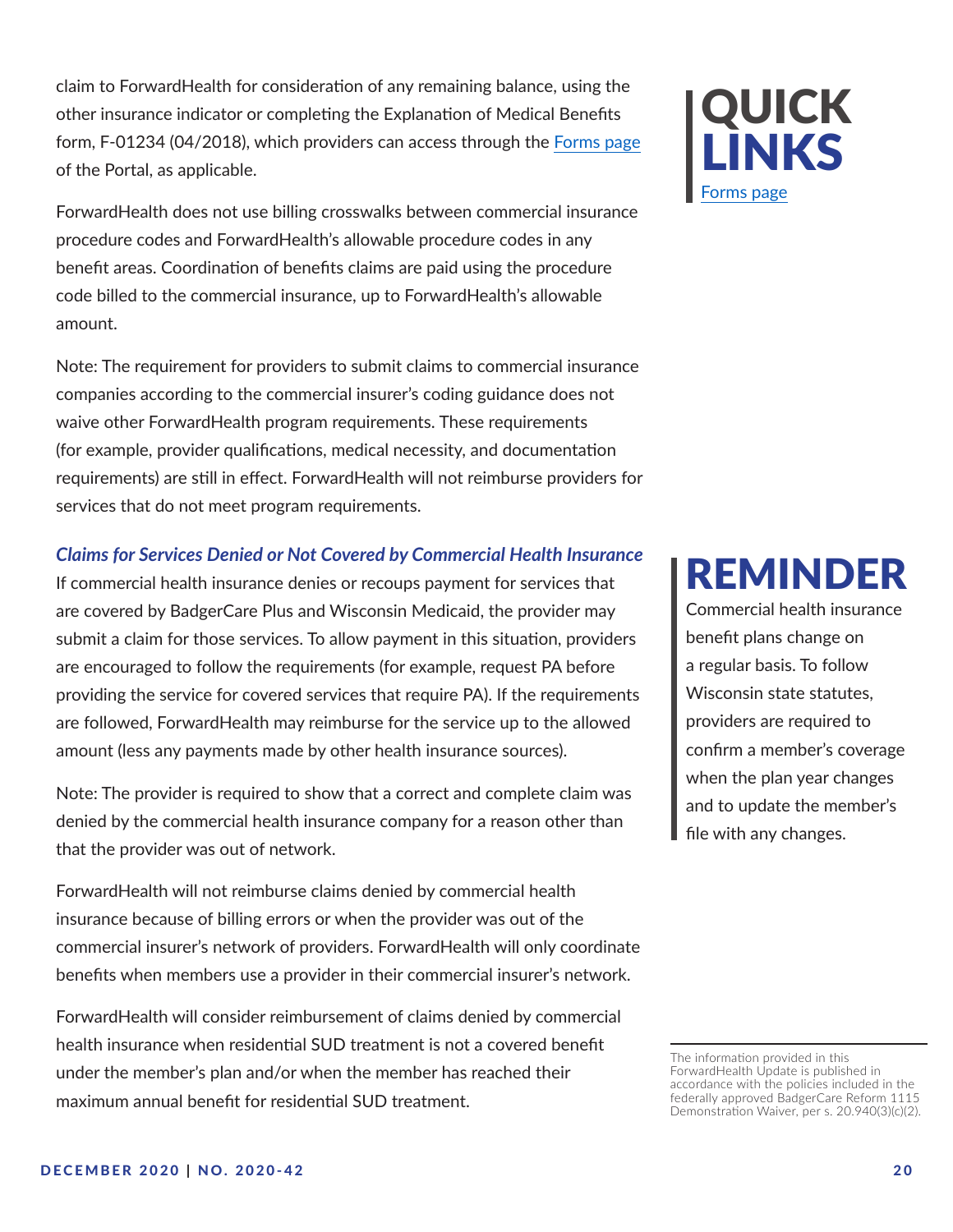claim to ForwardHealth for consideration of any remaining balance, using the other insurance indicator or completing the Explanation of Medical Benefits form, F-01234 (04/2018), which providers can access through the [Forms page](https://www.forwardhealth.wi.gov/WIPortal/Subsystem/Publications/ForwardHealthCommunications.aspx?panel=Forms) of the Portal, as applicable.

ForwardHealth does not use billing crosswalks between commercial insurance procedure codes and ForwardHealth's allowable procedure codes in any benefit areas. Coordination of benefits claims are paid using the procedure code billed to the commercial insurance, up to ForwardHealth's allowable amount.

Note: The requirement for providers to submit claims to commercial insurance companies according to the commercial insurer's coding guidance does not waive other ForwardHealth program requirements. These requirements (for example, provider qualifications, medical necessity, and documentation requirements) are still in effect. ForwardHealth will not reimburse providers for services that do not meet program requirements.

#### *Claims for Services Denied or Not Covered by Commercial Health Insurance*

If commercial health insurance denies or recoups payment for services that are covered by BadgerCare Plus and Wisconsin Medicaid, the provider may submit a claim for those services. To allow payment in this situation, providers are encouraged to follow the requirements (for example, request PA before providing the service for covered services that require PA). If the requirements are followed, ForwardHealth may reimburse for the service up to the allowed amount (less any payments made by other health insurance sources).

Note: The provider is required to show that a correct and complete claim was denied by the commercial health insurance company for a reason other than that the provider was out of network.

ForwardHealth will not reimburse claims denied by commercial health insurance because of billing errors or when the provider was out of the commercial insurer's network of providers. ForwardHealth will only coordinate benefits when members use a provider in their commercial insurer's network.

ForwardHealth will consider reimbursement of claims denied by commercial health insurance when residential SUD treatment is not a covered benefit under the member's plan and/or when the member has reached their maximum annual benefit for residential SUD treatment.



# REMINDER

Commercial health insurance benefit plans change on a regular basis. To follow Wisconsin state statutes, providers are required to confirm a member's coverage when the plan year changes and to update the member's file with any changes.

The information provided in this ForwardHealth Update is published in accordance with the policies included in the federally approved BadgerCare Reform 1115 Demonstration Waiver, per s. 20.940(3)(c)(2).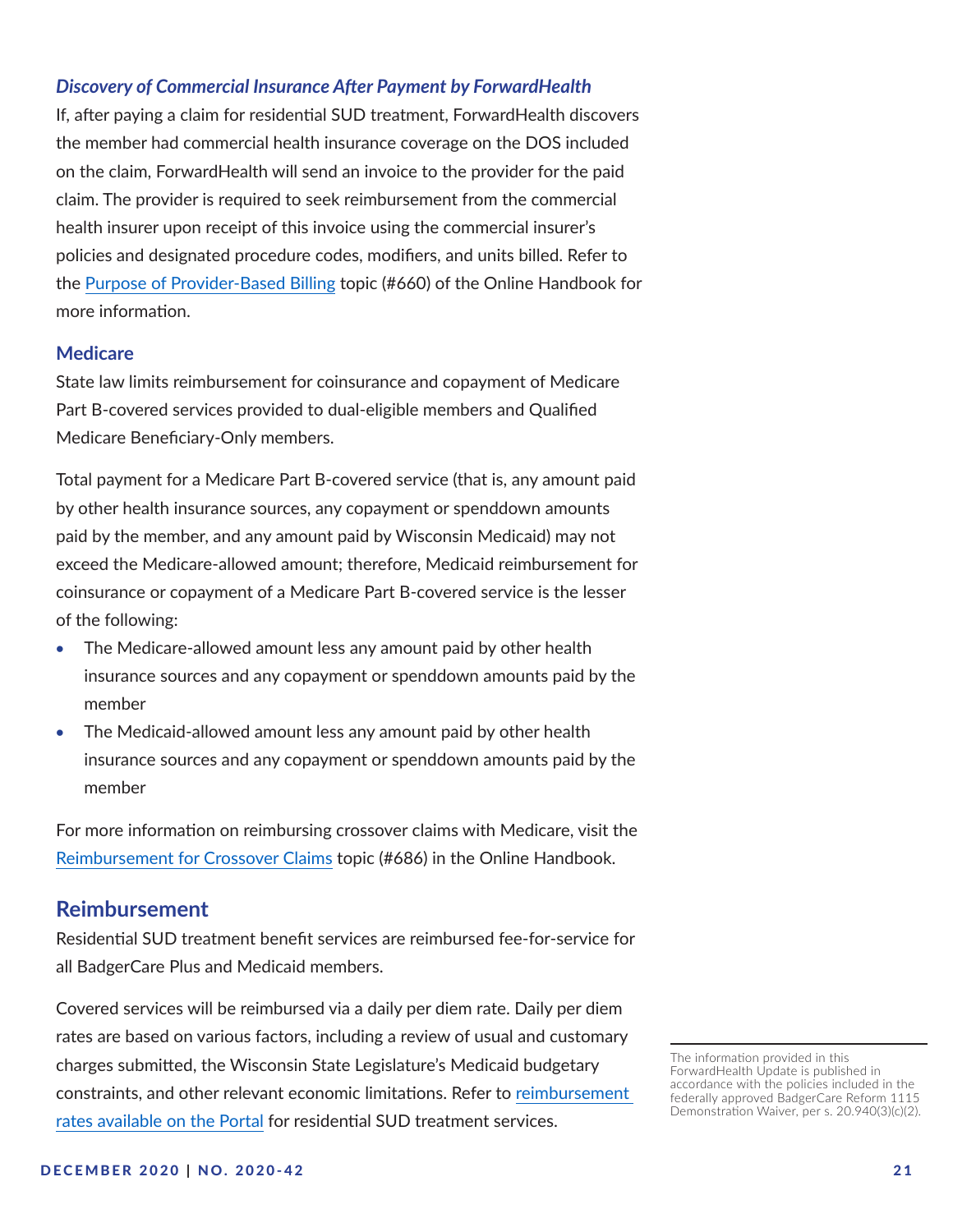#### <span id="page-20-0"></span>*Discovery of Commercial Insurance After Payment by ForwardHealth*

If, after paying a claim for residential SUD treatment, ForwardHealth discovers the member had commercial health insurance coverage on the DOS included on the claim, ForwardHealth will send an invoice to the provider for the paid claim. The provider is required to seek reimbursement from the commercial health insurer upon receipt of this invoice using the commercial insurer's policies and designated procedure codes, modifiers, and units billed. Refer to the [Purpose of Provider-Based Billing](https://www.forwardhealth.wi.gov/WIPortal/Subsystem/KW/Display.aspx?ia=1&p=1&sa=1&s=7&c=43&nt=Purpose+of+Provider-Based+Billing&adv=Y) topic (#660) of the Online Handbook for more information.

#### **Medicare**

State law limits reimbursement for coinsurance and copayment of Medicare Part B-covered services provided to dual-eligible members and Qualified Medicare Beneficiary-Only members.

Total payment for a Medicare Part B-covered service (that is, any amount paid by other health insurance sources, any copayment or spenddown amounts paid by the member, and any amount paid by Wisconsin Medicaid) may not exceed the Medicare-allowed amount; therefore, Medicaid reimbursement for coinsurance or copayment of a Medicare Part B-covered service is the lesser of the following:

- The Medicare-allowed amount less any amount paid by other health insurance sources and any copayment or spenddown amounts paid by the member
- The Medicaid-allowed amount less any amount paid by other health insurance sources and any copayment or spenddown amounts paid by the member

For more information on reimbursing crossover claims with Medicare, visit the [Reimbursement for Crossover Claims](https://www.forwardhealth.wi.gov/WIPortal/Subsystem/KW/Display.aspx?ia=1&p=1&sa=50&s=7&c=42&nt=Reimbursement+for+Crossover+Claims&adv=Y) topic (#686) in the Online Handbook.

## **Reimbursement**

Residential SUD treatment benefit services are reimbursed fee-for-service for all BadgerCare Plus and Medicaid members.

Covered services will be reimbursed via a daily per diem rate. Daily per diem rates are based on various factors, including a review of usual and customary charges submitted, the Wisconsin State Legislature's Medicaid budgetary constraints, and other relevant economic limitations. Refer to [reimbursement](https://www.forwardhealth.wi.gov/WIPortal/content/provider/medicaid/ResidentSUDTreatment/resources_84.htm.spage)  [rates available on the Portal](https://www.forwardhealth.wi.gov/WIPortal/content/provider/medicaid/ResidentSUDTreatment/resources_84.htm.spage) for residential SUD treatment services.

The information provided in this ForwardHealth Update is published in accordance with the policies included in the federally approved BadgerCare Reform 1115 Demonstration Waiver, per s. 20.940(3)(c)(2).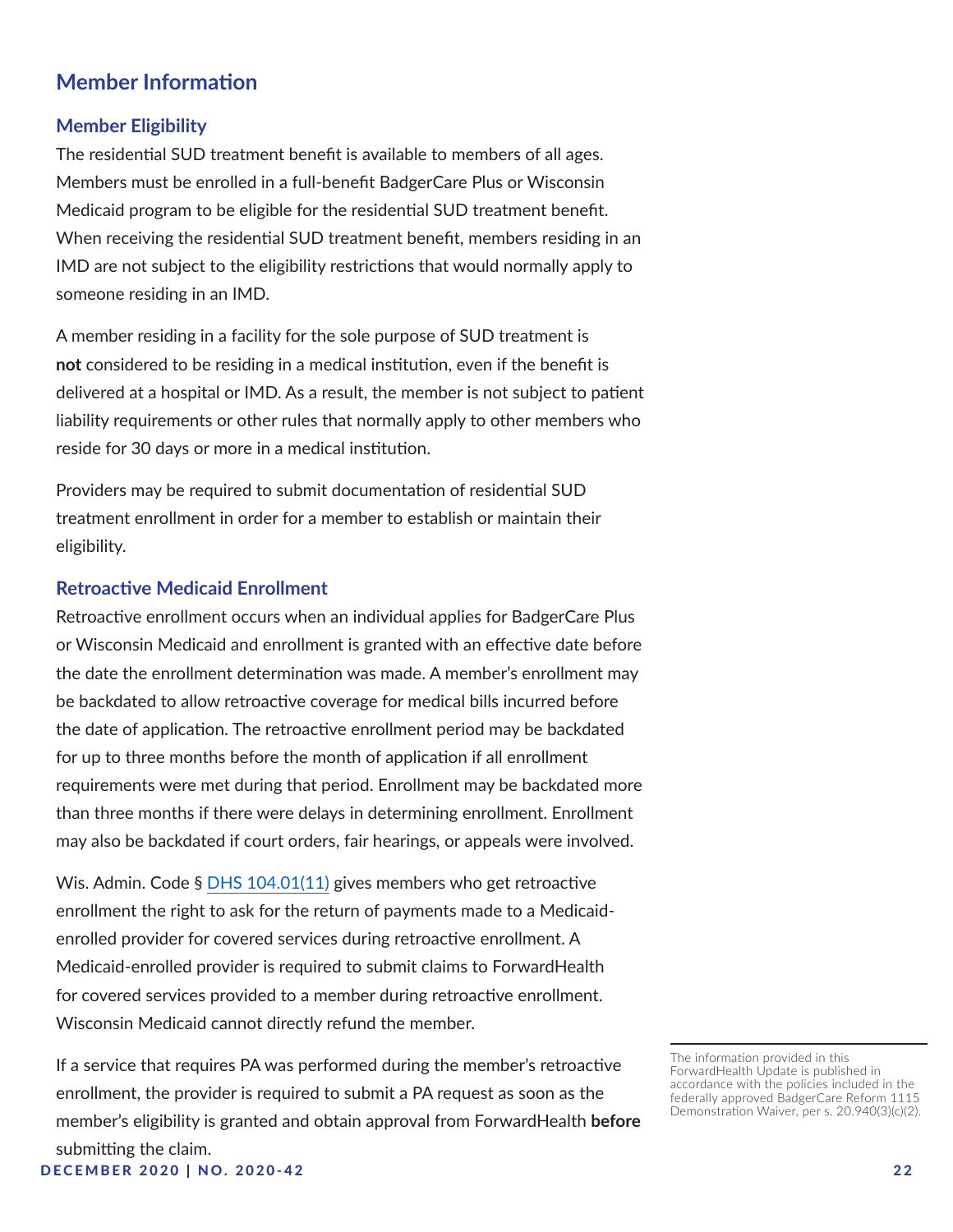# **Member Information**

#### **Member Eligibility**

The residential SUD treatment benefit is available to members of all ages. Members must be enrolled in a full-benefit BadgerCare Plus or Wisconsin Medicaid program to be eligible for the residential SUD treatment benefit. When receiving the residential SUD treatment benefit, members residing in an IMD are not subject to the eligibility restrictions that would normally apply to someone residing in an IMD.

A member residing in a facility for the sole purpose of SUD treatment is **not** considered to be residing in a medical institution, even if the benefit is delivered at a hospital or IMD. As a result, the member is not subject to patient liability requirements or other rules that normally apply to other members who reside for 30 days or more in a medical institution.

Providers may be required to submit documentation of residential SUD treatment enrollment in order for a member to establish or maintain their eligibility.

#### **Retroactive Medicaid Enrollment**

Retroactive enrollment occurs when an individual applies for BadgerCare Plus or Wisconsin Medicaid and enrollment is granted with an effective date before the date the enrollment determination was made. A member's enrollment may be backdated to allow retroactive coverage for medical bills incurred before the date of application. The retroactive enrollment period may be backdated for up to three months before the month of application if all enrollment requirements were met during that period. Enrollment may be backdated more than three months if there were delays in determining enrollment. Enrollment may also be backdated if court orders, fair hearings, or appeals were involved.

Wis. Admin. Code § [DHS 104.01\(11\)](https://docs.legis.wisconsin.gov/code/admin_code/dhs/101/104/01/11) gives members who get retroactive enrollment the right to ask for the return of payments made to a Medicaidenrolled provider for covered services during retroactive enrollment. A Medicaid-enrolled provider is required to submit claims to ForwardHealth for covered services provided to a member during retroactive enrollment. Wisconsin Medicaid cannot directly refund the member.

DECEMBER 2020 | N O . 2 0 2 0 - 4 2 2 2 If a service that requires PA was performed during the member's retroactive enrollment, the provider is required to submit a PA request as soon as the member's eligibility is granted and obtain approval from ForwardHealth **before** submitting the claim.

The information provided in this ForwardHealth Update is published in accordance with the policies included in the federally approved BadgerCare Reform 1115 Demonstration Waiver, per s. 20.940(3)(c)(2).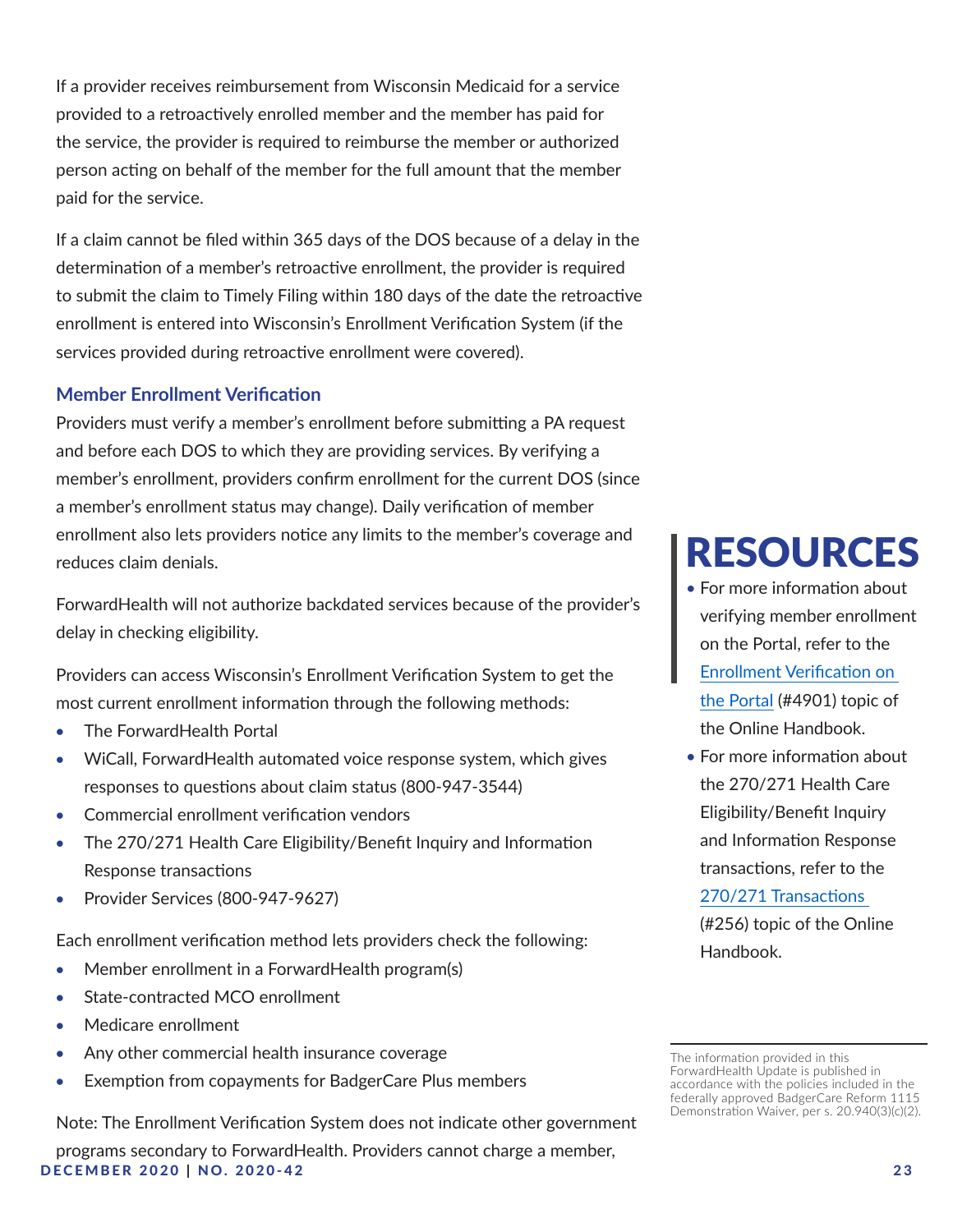If a provider receives reimbursement from Wisconsin Medicaid for a service provided to a retroactively enrolled member and the member has paid for the service, the provider is required to reimburse the member or authorized person acting on behalf of the member for the full amount that the member paid for the service.

If a claim cannot be filed within 365 days of the DOS because of a delay in the determination of a member's retroactive enrollment, the provider is required to submit the claim to Timely Filing within 180 days of the date the retroactive enrollment is entered into Wisconsin's Enrollment Verification System (if the services provided during retroactive enrollment were covered).

#### **Member Enrollment Verification**

Providers must verify a member's enrollment before submitting a PA request and before each DOS to which they are providing services. By verifying a member's enrollment, providers confirm enrollment for the current DOS (since a member's enrollment status may change). Daily verification of member enrollment also lets providers notice any limits to the member's coverage and reduces claim denials.

ForwardHealth will not authorize backdated services because of the provider's delay in checking eligibility.

Providers can access Wisconsin's Enrollment Verification System to get the most current enrollment information through the following methods:

- The ForwardHealth Portal
- WiCall, ForwardHealth automated voice response system, which gives responses to questions about claim status (800-947-3544)
- • Commercial enrollment verification vendors
- The 270/271 Health Care Eligibility/Benefit Inquiry and Information Response transactions
- Provider Services (800-947-9627)

Each enrollment verification method lets providers check the following:

- Member enrollment in a ForwardHealth program(s)
- State-contracted MCO enrollment
- Medicare enrollment
- Any other commercial health insurance coverage
- Exemption from copayments for BadgerCare Plus members

Note: The Enrollment Verification System does not indicate other government

DECEMBER 2020 | NO. 2020-42 23 programs secondary to ForwardHealth. Providers cannot charge a member,

# RESOURCES

- For more information about verifying member enrollment on the Portal, refer to the [Enrollment Verification on](https://www.forwardhealth.wi.gov/WIPortal/Subsystem/KW/Display.aspx?ia=1&p=1&sa=50&s=8&c=125&nt=Enrollment+Verification+on+the+Portal)  [the Portal](https://www.forwardhealth.wi.gov/WIPortal/Subsystem/KW/Display.aspx?ia=1&p=1&sa=50&s=8&c=125&nt=Enrollment+Verification+on+the+Portal) (#4901) topic of the Online Handbook.
- For more information about the 270/271 Health Care Eligibility/Benefit Inquiry and Information Response transactions, refer to the [270/271 Transactions](https://www.forwardhealth.wi.gov/WIPortal/Subsystem/KW/Display.aspx?ia=1&p=1&sa=50&s=8&c=125&nt=270%2f271+Transactions&adv=Y)  (#256) topic of the Online Handbook.

The information provided in this ForwardHealth Update is published in accordance with the policies included in the federally approved BadgerCare Reform 1115 Demonstration Waiver, per s. 20.940(3)(c)(2).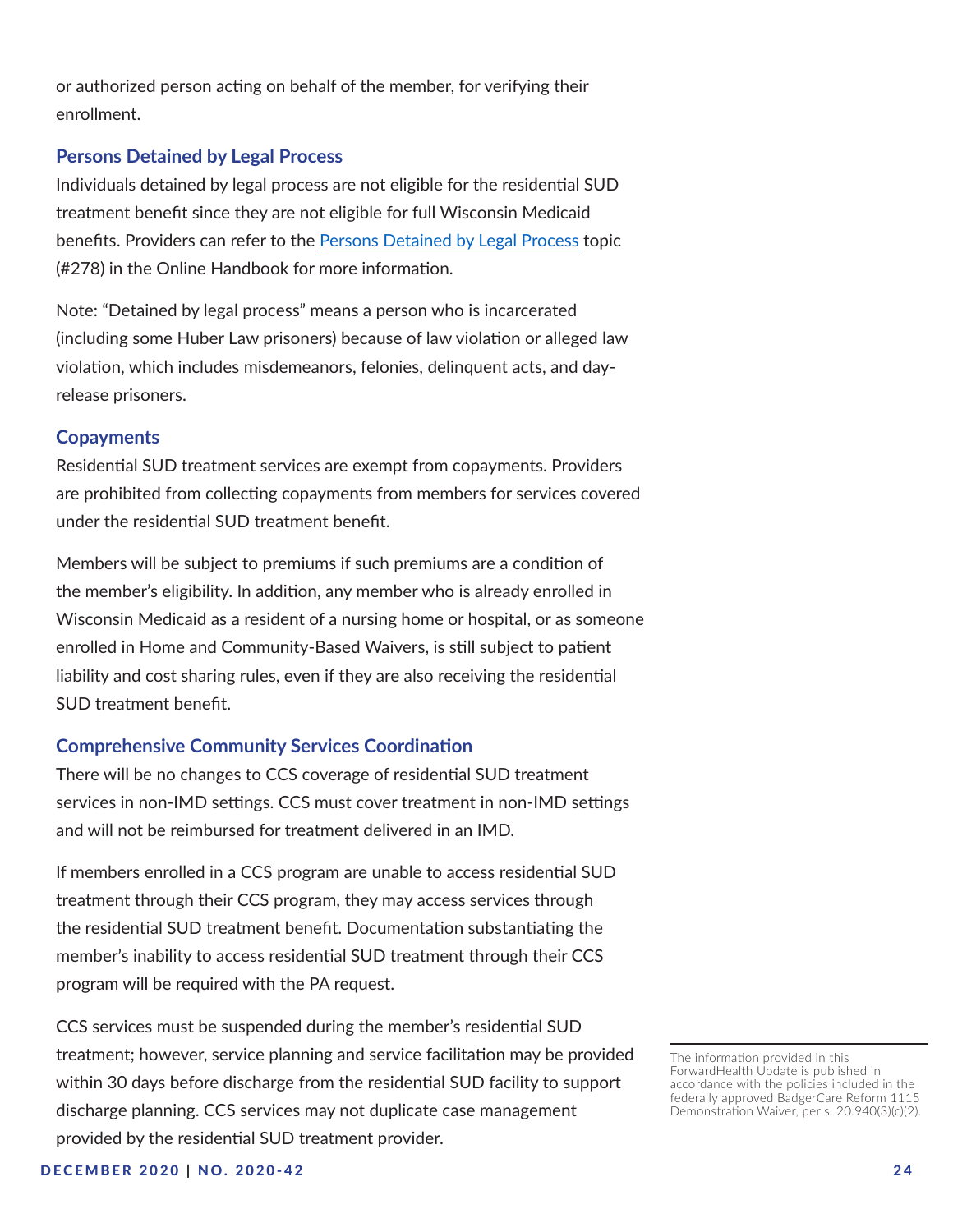or authorized person acting on behalf of the member, for verifying their enrollment.

#### **Persons Detained by Legal Process**

Individuals detained by legal process are not eligible for the residential SUD treatment benefit since they are not eligible for full Wisconsin Medicaid benefits. Providers can refer to the [Persons Detained by Legal Process](https://www.forwardhealth.wi.gov/WIPortal/Subsystem/KW/Display.aspx?ia=1&p=1&sa=130&s=6&c=38&nt=Persons+Detained+by+Legal+Process&adv=Y) topic (#278) in the Online Handbook for more information.

Note: "Detained by legal process" means a person who is incarcerated (including some Huber Law prisoners) because of law violation or alleged law violation, which includes misdemeanors, felonies, delinquent acts, and dayrelease prisoners.

#### **Copayments**

Residential SUD treatment services are exempt from copayments. Providers are prohibited from collecting copayments from members for services covered under the residential SUD treatment benefit.

Members will be subject to premiums if such premiums are a condition of the member's eligibility. In addition, any member who is already enrolled in Wisconsin Medicaid as a resident of a nursing home or hospital, or as someone enrolled in Home and Community-Based Waivers, is still subject to patient liability and cost sharing rules, even if they are also receiving the residential SUD treatment benefit.

#### **Comprehensive Community Services Coordination**

There will be no changes to CCS coverage of residential SUD treatment services in non-IMD settings. CCS must cover treatment in non-IMD settings and will not be reimbursed for treatment delivered in an IMD.

If members enrolled in a CCS program are unable to access residential SUD treatment through their CCS program, they may access services through the residential SUD treatment benefit. Documentation substantiating the member's inability to access residential SUD treatment through their CCS program will be required with the PA request.

CCS services must be suspended during the member's residential SUD treatment; however, service planning and service facilitation may be provided within 30 days before discharge from the residential SUD facility to support discharge planning. CCS services may not duplicate case management provided by the residential SUD treatment provider.

The information provided in this ForwardHealth Update is published in accordance with the policies included in the federally approved BadgerCare Reform 1115 Demonstration Waiver, per s. 20.940(3)(c)(2).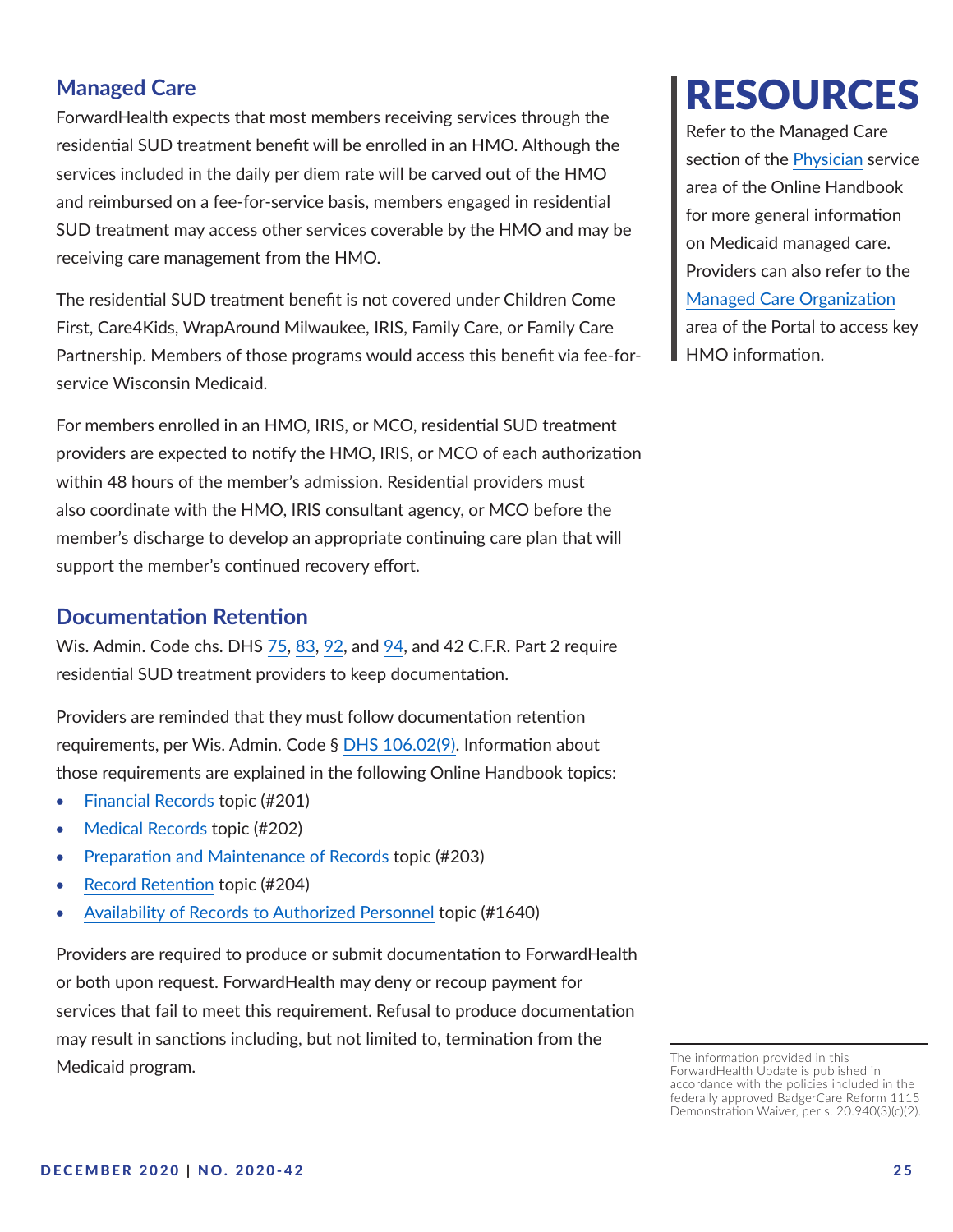# **Managed Care**

ForwardHealth expects that most members receiving services through the residential SUD treatment benefit will be enrolled in an HMO. Although the services included in the daily per diem rate will be carved out of the HMO and reimbursed on a fee-for-service basis, members engaged in residential SUD treatment may access other services coverable by the HMO and may be receiving care management from the HMO.

The residential SUD treatment benefit is not covered under Children Come First, Care4Kids, WrapAround Milwaukee, IRIS, Family Care, or Family Care Partnership. Members of those programs would access this benefit via fee-forservice Wisconsin Medicaid.

For members enrolled in an HMO, IRIS, or MCO, residential SUD treatment providers are expected to notify the HMO, IRIS, or MCO of each authorization within 48 hours of the member's admission. Residential providers must also coordinate with the HMO, IRIS consultant agency, or MCO before the member's discharge to develop an appropriate continuing care plan that will support the member's continued recovery effort.

# **Documentation Retention**

Wis. Admin. Code chs. DHS [75](https://docs.legis.wisconsin.gov/code/admin_code/dhs/030/75), [83](https://docs.legis.wisconsin.gov/code/admin_code/dhs/030/83), [92](https://docs.legis.wisconsin.gov/code/admin_code/dhs/030/92), and [94](https://docs.legis.wisconsin.gov/code/admin_code/dhs/030/94/_2?up=1), and 42 C.F.R. Part 2 require residential SUD treatment providers to keep documentation.

Providers are reminded that they must follow documentation retention requirements, per Wis. Admin. Code § [DHS 106.02\(9\).](http://docs.legis.wisconsin.gov/code/admin_code/dhs/101/106/02/9) Information about those requirements are explained in the following Online Handbook topics:

- [Financial Records](https://www.forwardhealth.wi.gov/WIPortal/Subsystem/KW/Display.aspx?ia=1&p=1&sa=50&s=1&c=3&nt=Financial+Records&adv=Y) topic (#201)
- [Medical Records](https://www.forwardhealth.wi.gov/WIPortal/Subsystem/KW/Display.aspx?ia=1&p=1&sa=50&s=1&c=3&nt=Medical+Records&adv=Y) topic (#202)
- [Preparation and Maintenance of Records](https://www.forwardhealth.wi.gov/WIPortal/Subsystem/KW/Display.aspx?ia=1&p=1&sa=50&s=1&c=3&nt=Preparation+and+Maintenance+of+Records) topic (#203)
- [Record Retention](https://www.forwardhealth.wi.gov/WIPortal/Subsystem/KW/Display.aspx?ia=1&p=1&sa=50&s=1&c=3&nt=Record+Retention) topic (#204)
- [Availability of Records to Authorized Personnel](https://www.forwardhealth.wi.gov/WIPortal/Subsystem/KW/Display.aspx?ia=1&p=1&sa=50&s=1&c=3&nt=Availability+of+Records+to+Authorized+Personnel) topic (#1640)

Providers are required to produce or submit documentation to ForwardHealth or both upon request. ForwardHealth may deny or recoup payment for services that fail to meet this requirement. Refusal to produce documentation may result in sanctions including, but not limited to, termination from the Medicaid program.

# RESOURCES

Refer to the Managed Care section of the [Physician](https://www.forwardhealth.wi.gov/WIPortal/Subsystem/KW/Display.aspx?ia=1&p=1&sa=50) service area of the Online Handbook for more general information on Medicaid managed care. Providers can also refer to the [Managed Care Organization](https://www.forwardhealth.wi.gov/WIPortal/Subsystem/ManagedCare/ManagedCareLogin.aspx) area of the Portal to access key HMO information.

The information provided in this ForwardHealth Update is published in accordance with the policies included in the federally approved BadgerCare Reform 1115 Demonstration Waiver, per s. 20.940(3)(c)(2).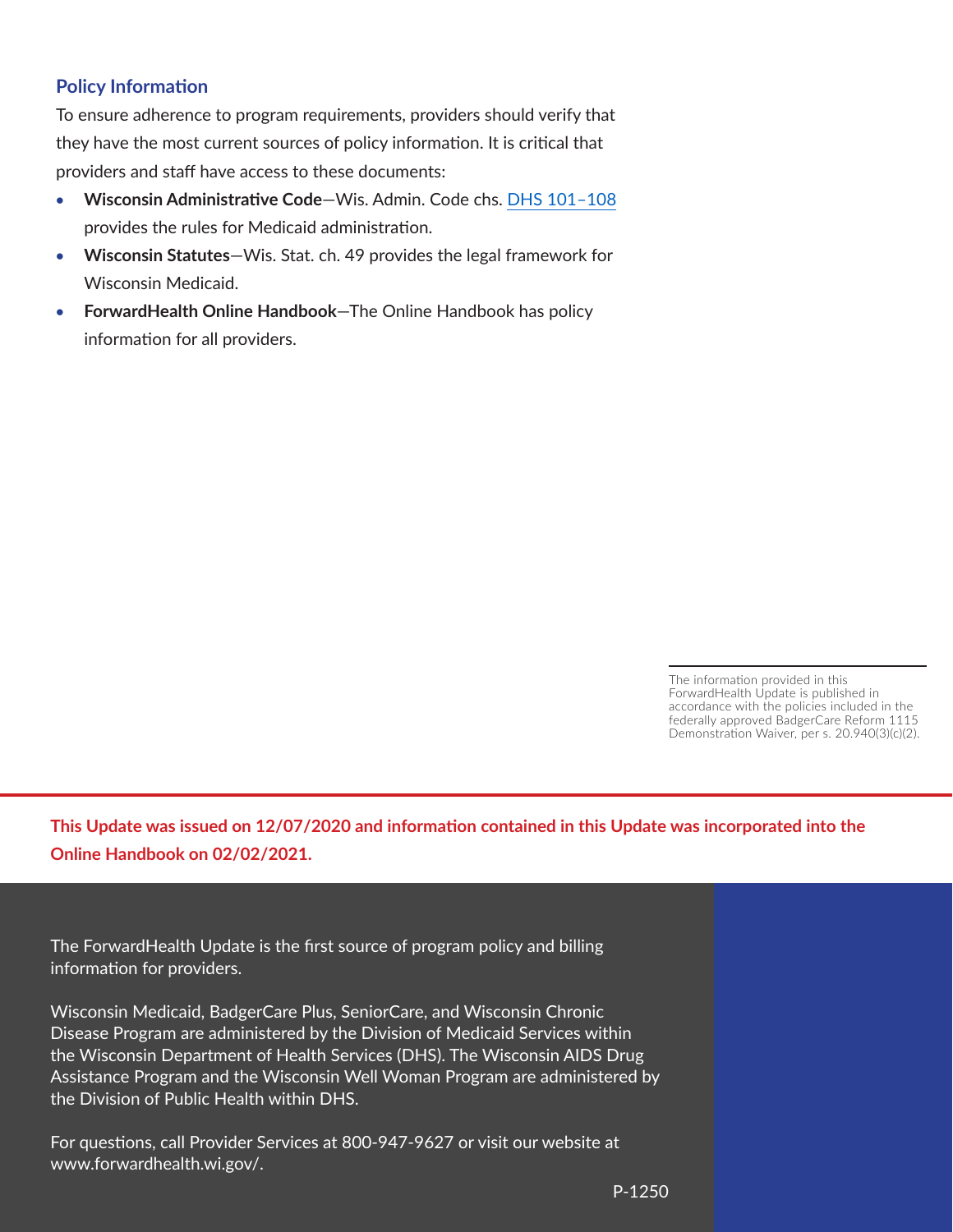## **Policy Information**

To ensure adherence to program requirements, providers should verify that they have the most current sources of policy information. It is critical that providers and staff have access to these documents:

- **Wisconsin Administrative Code-Wis. Admin. Code chs. DHS 101-108** provides the rules for Medicaid administration.
- • **Wisconsin Statutes**—Wis. Stat. ch. 49 provides the legal framework for Wisconsin Medicaid.
- **ForwardHealth Online Handbook**—The Online Handbook has policy information for all providers.

The information provided in this ForwardHealth Update is published in accordance with the policies included in the federally approved BadgerCare Reform 1115 Demonstration Waiver, per s. 20.940(3)(c)(2).

**This Update was issued on 12/07/2020 and information contained in this Update was incorporated into the Online Handbook on 02/02/2021.**

The ForwardHealth Update is the first source of program policy and billing information for providers.

Wisconsin Medicaid, BadgerCare Plus, SeniorCare, and Wisconsin Chronic Disease Program are administered by the Division of Medicaid Services within the Wisconsin Department of Health Services (DHS). The Wisconsin AIDS Drug Assistance Program and the Wisconsin Well Woman Program are administered by the Division of Public Health within DHS.

For questions, call Provider Services at 800-947-9627 or visit our website at www.forwardhealth.wi.gov/.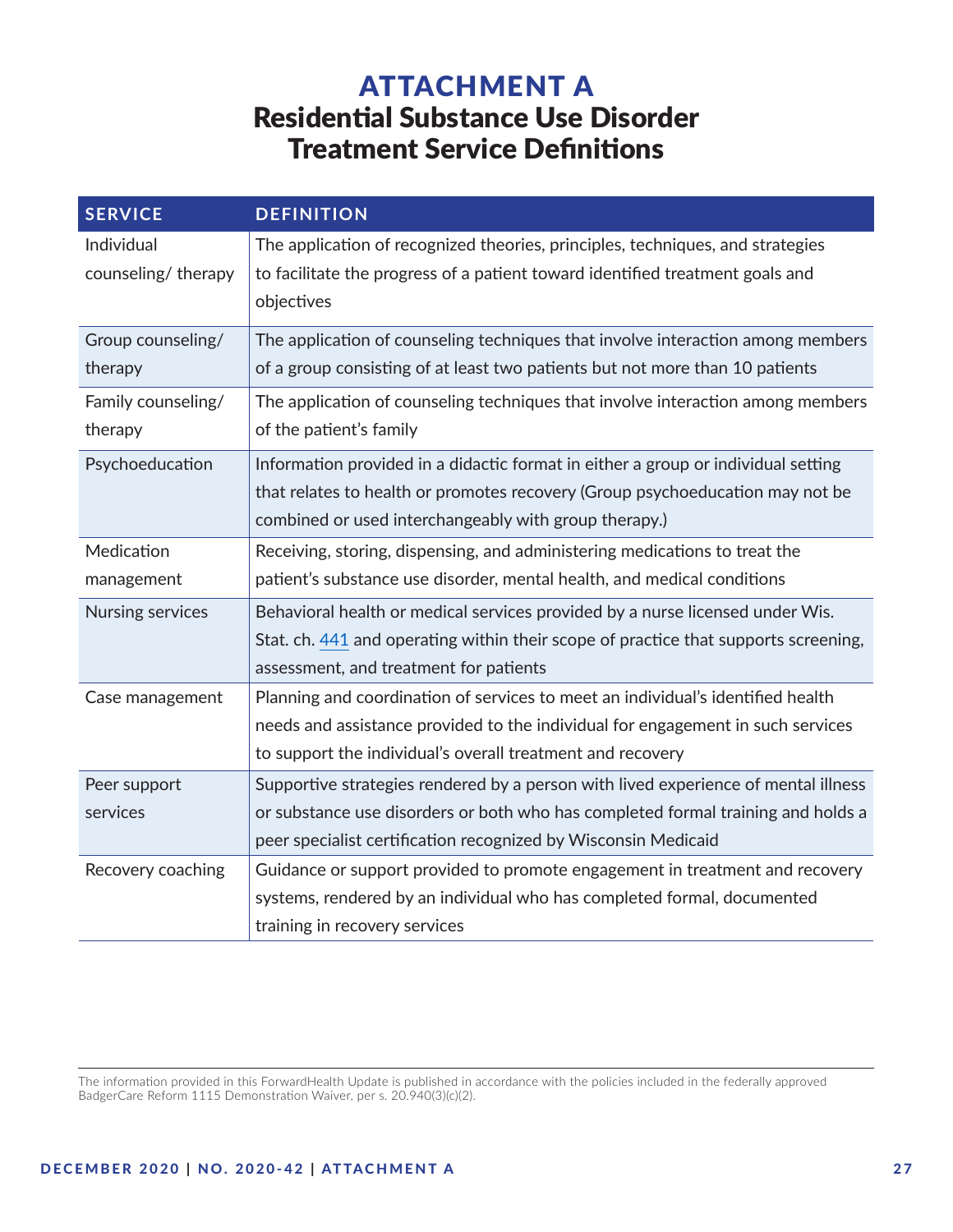# ATTACHMENT A Residential Substance Use Disorder Treatment Service Definitions

<span id="page-26-0"></span>

| <b>SERVICE</b>                   | <b>DEFINITION</b>                                                                                                                                                             |
|----------------------------------|-------------------------------------------------------------------------------------------------------------------------------------------------------------------------------|
| Individual<br>counseling/therapy | The application of recognized theories, principles, techniques, and strategies<br>to facilitate the progress of a patient toward identified treatment goals and<br>objectives |
| Group counseling/                | The application of counseling techniques that involve interaction among members                                                                                               |
| therapy                          | of a group consisting of at least two patients but not more than 10 patients                                                                                                  |
| Family counseling/               | The application of counseling techniques that involve interaction among members                                                                                               |
| therapy                          | of the patient's family                                                                                                                                                       |
| Psychoeducation                  | Information provided in a didactic format in either a group or individual setting                                                                                             |
|                                  | that relates to health or promotes recovery (Group psychoeducation may not be                                                                                                 |
|                                  | combined or used interchangeably with group therapy.)                                                                                                                         |
| Medication                       | Receiving, storing, dispensing, and administering medications to treat the                                                                                                    |
| management                       | patient's substance use disorder, mental health, and medical conditions                                                                                                       |
| Nursing services                 | Behavioral health or medical services provided by a nurse licensed under Wis.                                                                                                 |
|                                  | Stat. ch. 441 and operating within their scope of practice that supports screening,                                                                                           |
|                                  | assessment, and treatment for patients                                                                                                                                        |
| Case management                  | Planning and coordination of services to meet an individual's identified health                                                                                               |
|                                  | needs and assistance provided to the individual for engagement in such services                                                                                               |
|                                  | to support the individual's overall treatment and recovery                                                                                                                    |
| Peer support                     | Supportive strategies rendered by a person with lived experience of mental illness                                                                                            |
| services                         | or substance use disorders or both who has completed formal training and holds a                                                                                              |
|                                  | peer specialist certification recognized by Wisconsin Medicaid                                                                                                                |
| Recovery coaching                | Guidance or support provided to promote engagement in treatment and recovery                                                                                                  |
|                                  | systems, rendered by an individual who has completed formal, documented                                                                                                       |
|                                  | training in recovery services                                                                                                                                                 |

The information provided in this ForwardHealth Update is published in accordance with the policies included in the federally approved BadgerCare Reform 1115 Demonstration Waiver, per s. 20.940(3)(c)(2).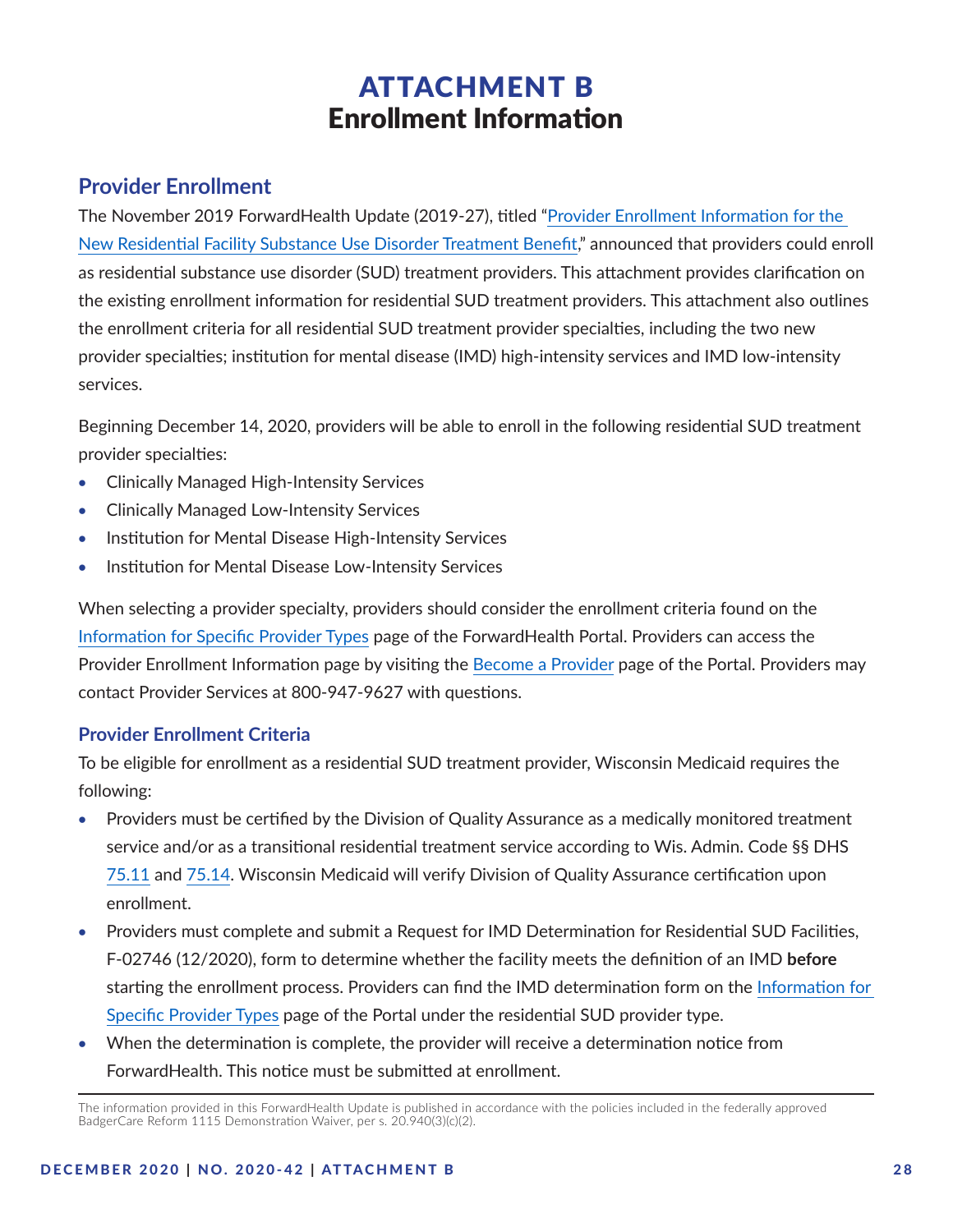# ATTACHMENT B Enrollment Information

# <span id="page-27-0"></span>**Provider Enrollment**

The November 2019 ForwardHealth Update (2019-27), titled "[Provider Enrollment Information for the](https://www.forwardhealth.wi.gov/kw/pdf/2019-27.pdf)  [New Residential Facility Substance Use Disorder Treatment Benefit](https://www.forwardhealth.wi.gov/kw/pdf/2019-27.pdf)," announced that providers could enroll as residential substance use disorder (SUD) treatment providers. This attachment provides clarification on the existing enrollment information for residential SUD treatment providers. This attachment also outlines the enrollment criteria for all residential SUD treatment provider specialties, including the two new provider specialties; institution for mental disease (IMD) high-intensity services and IMD low-intensity services.

Beginning December 14, 2020, providers will be able to enroll in the following residential SUD treatment provider specialties:

- Clinically Managed High-Intensity Services
- • Clinically Managed Low-Intensity Services
- Institution for Mental Disease High-Intensity Services
- Institution for Mental Disease Low-Intensity Services

When selecting a provider specialty, providers should consider the enrollment criteria found on the [Information for Specific Provider Types](https://www.forwardhealth.wi.gov/WIPortal/Subsystem/Certification/EnrollmentCriteria.aspx?topic=2) page of the ForwardHealth Portal. Providers can access the Provider Enrollment Information page by visiting the [Become a Provider](https://www.forwardhealth.wi.gov/WIPortal/Subsystem/Certification/EnrollmentCriteria.aspx) page of the Portal. Providers may contact Provider Services at 800-947-9627 with questions.

# **Provider Enrollment Criteria**

To be eligible for enrollment as a residential SUD treatment provider, Wisconsin Medicaid requires the following:

- Providers must be certified by the Division of Quality Assurance as a medically monitored treatment service and/or as a transitional residential treatment service according to Wis. Admin. Code §§ DHS [75.11](https://docs.legis.wisconsin.gov/code/admin_code/dhs/030/75/11) and [75.14](https://docs.legis.wisconsin.gov/code/admin_code/dhs/030/75/14). Wisconsin Medicaid will verify Division of Quality Assurance certification upon enrollment.
- Providers must complete and submit a Request for IMD Determination for Residential SUD Facilities, F-02746 (12/2020), form to determine whether the facility meets the definition of an IMD **before** starting the enrollment process. Providers can find the IMD determination form on the [Information for](https://www.forwardhealth.wi.gov/WIPortal/Subsystem/Certification/EnrollmentCriteria.aspx?topic=2)  [Specific Provider Types](https://www.forwardhealth.wi.gov/WIPortal/Subsystem/Certification/EnrollmentCriteria.aspx?topic=2) page of the Portal under the residential SUD provider type.
- When the determination is complete, the provider will receive a determination notice from ForwardHealth. This notice must be submitted at enrollment.

The information provided in this ForwardHealth Update is published in accordance with the policies included in the federally approved BadgerCare Reform 1115 Demonstration Waiver, per s. 20.940(3)(c)(2).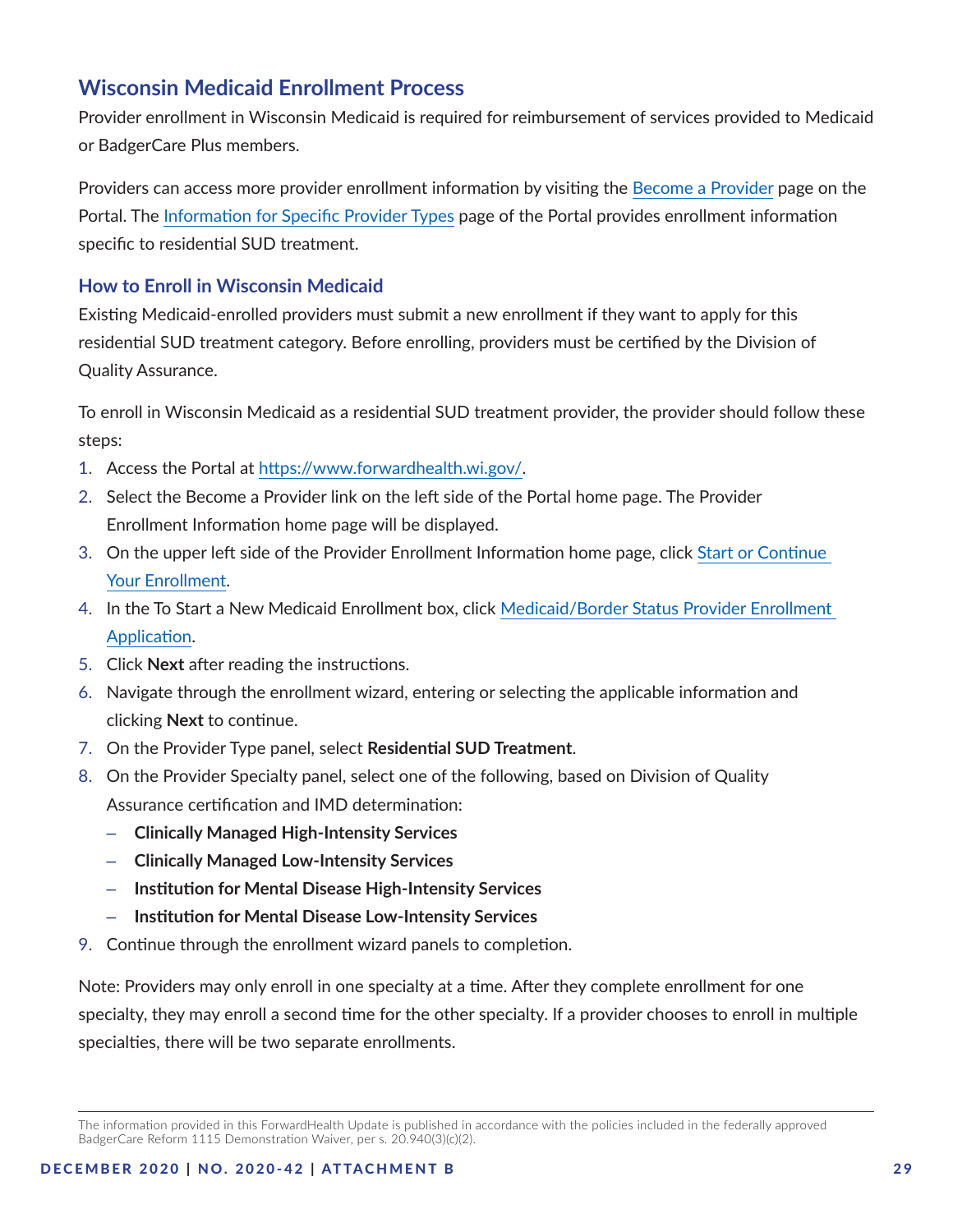# **Wisconsin Medicaid Enrollment Process**

Provider enrollment in Wisconsin Medicaid is required for reimbursement of services provided to Medicaid or BadgerCare Plus members.

Providers can access more provider enrollment information by visiting the [Become a Provider](https://www.forwardhealth.wi.gov/WIPortal/Subsystem/Certification/EnrollmentCriteria.aspx) page on the Portal. The [Information for Specific Provider Types](https://www.forwardhealth.wi.gov/WIPortal/Subsystem/Certification/EnrollmentCriteria.aspx?topic=2) page of the Portal provides enrollment information specific to residential SUD treatment.

## **How to Enroll in Wisconsin Medicaid**

Existing Medicaid-enrolled providers must submit a new enrollment if they want to apply for this residential SUD treatment category. Before enrolling, providers must be certified by the Division of Quality Assurance.

To enroll in Wisconsin Medicaid as a residential SUD treatment provider, the provider should follow these steps:

- 1. Access the Portal at [https://www.forwardhealth.wi.gov/.](https://www.forwardhealth.wi.gov/)
- 2. Select the Become a Provider link on the left side of the Portal home page. The Provider Enrollment Information home page will be displayed.
- 3. On the upper left side of the Provider Enrollment Information home page, click [Start or Continue](https://www.forwardhealth.wi.gov/WIPortal/Subsystem/Certification/CertificationHomePage.aspx)  [Your Enrollment](https://www.forwardhealth.wi.gov/WIPortal/Subsystem/Certification/CertificationHomePage.aspx).
- 4. In the To Start a New Medicaid Enrollment box, click [Medicaid/Border Status Provider Enrollment](https://www.forwardhealth.wi.gov/WIPortal/Subsystem/Certification/ProviderCertification.aspx)  [Application](https://www.forwardhealth.wi.gov/WIPortal/Subsystem/Certification/ProviderCertification.aspx).
- 5. Click **Next** after reading the instructions.
- 6. Navigate through the enrollment wizard, entering or selecting the applicable information and clicking **Next** to continue.
- 7. On the Provider Type panel, select **Residential SUD Treatment**.
- 8. On the Provider Specialty panel, select one of the following, based on Division of Quality Assurance certification and IMD determination:
	- **Clinically Managed High-Intensity Services**
	- **Clinically Managed Low-Intensity Services**
	- **Institution for Mental Disease High-Intensity Services**
	- **Institution for Mental Disease Low-Intensity Services**
- 9. Continue through the enrollment wizard panels to completion.

Note: Providers may only enroll in one specialty at a time. After they complete enrollment for one specialty, they may enroll a second time for the other specialty. If a provider chooses to enroll in multiple specialties, there will be two separate enrollments.

The information provided in this ForwardHealth Update is published in accordance with the policies included in the federally approved BadgerCare Reform 1115 Demonstration Waiver, per s. 20.940(3)(c)(2).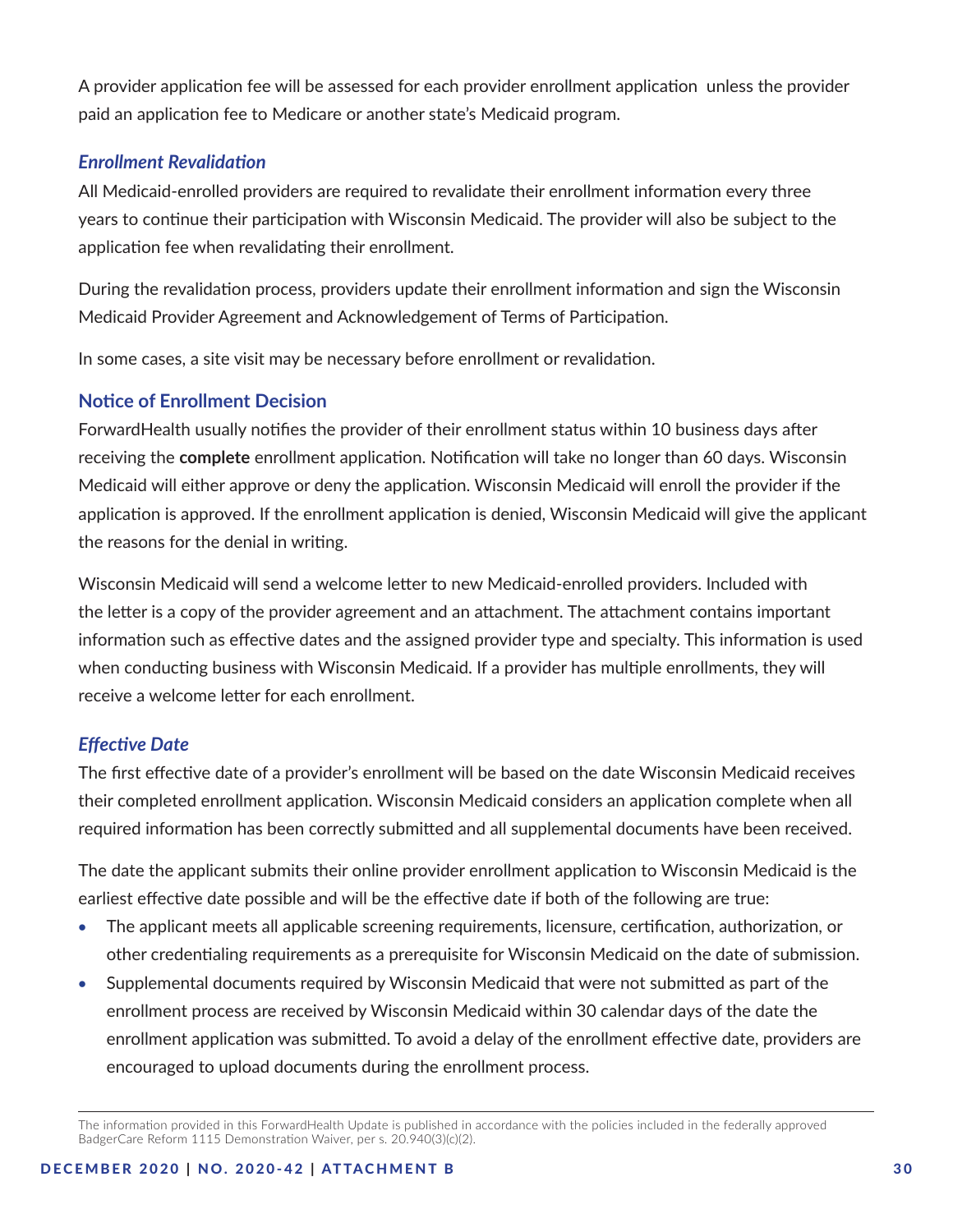A provider application fee will be assessed for each provider enrollment application unless the provider paid an application fee to Medicare or another state's Medicaid program.

### *Enrollment Revalidation*

All Medicaid-enrolled providers are required to revalidate their enrollment information every three years to continue their participation with Wisconsin Medicaid. The provider will also be subject to the application fee when revalidating their enrollment.

During the revalidation process, providers update their enrollment information and sign the Wisconsin Medicaid Provider Agreement and Acknowledgement of Terms of Participation.

In some cases, a site visit may be necessary before enrollment or revalidation.

## **Notice of Enrollment Decision**

ForwardHealth usually notifies the provider of their enrollment status within 10 business days after receiving the **complete** enrollment application. Notification will take no longer than 60 days. Wisconsin Medicaid will either approve or deny the application. Wisconsin Medicaid will enroll the provider if the application is approved. If the enrollment application is denied, Wisconsin Medicaid will give the applicant the reasons for the denial in writing.

Wisconsin Medicaid will send a welcome letter to new Medicaid-enrolled providers. Included with the letter is a copy of the provider agreement and an attachment. The attachment contains important information such as effective dates and the assigned provider type and specialty. This information is used when conducting business with Wisconsin Medicaid. If a provider has multiple enrollments, they will receive a welcome letter for each enrollment.

#### *Effective Date*

The first effective date of a provider's enrollment will be based on the date Wisconsin Medicaid receives their completed enrollment application. Wisconsin Medicaid considers an application complete when all required information has been correctly submitted and all supplemental documents have been received.

The date the applicant submits their online provider enrollment application to Wisconsin Medicaid is the earliest effective date possible and will be the effective date if both of the following are true:

- The applicant meets all applicable screening requirements, licensure, certification, authorization, or other credentialing requirements as a prerequisite for Wisconsin Medicaid on the date of submission.
- Supplemental documents required by Wisconsin Medicaid that were not submitted as part of the enrollment process are received by Wisconsin Medicaid within 30 calendar days of the date the enrollment application was submitted. To avoid a delay of the enrollment effective date, providers are encouraged to upload documents during the enrollment process.

The information provided in this ForwardHealth Update is published in accordance with the policies included in the federally approved BadgerCare Reform 1115 Demonstration Waiver, per s. 20.940(3)(c)(2).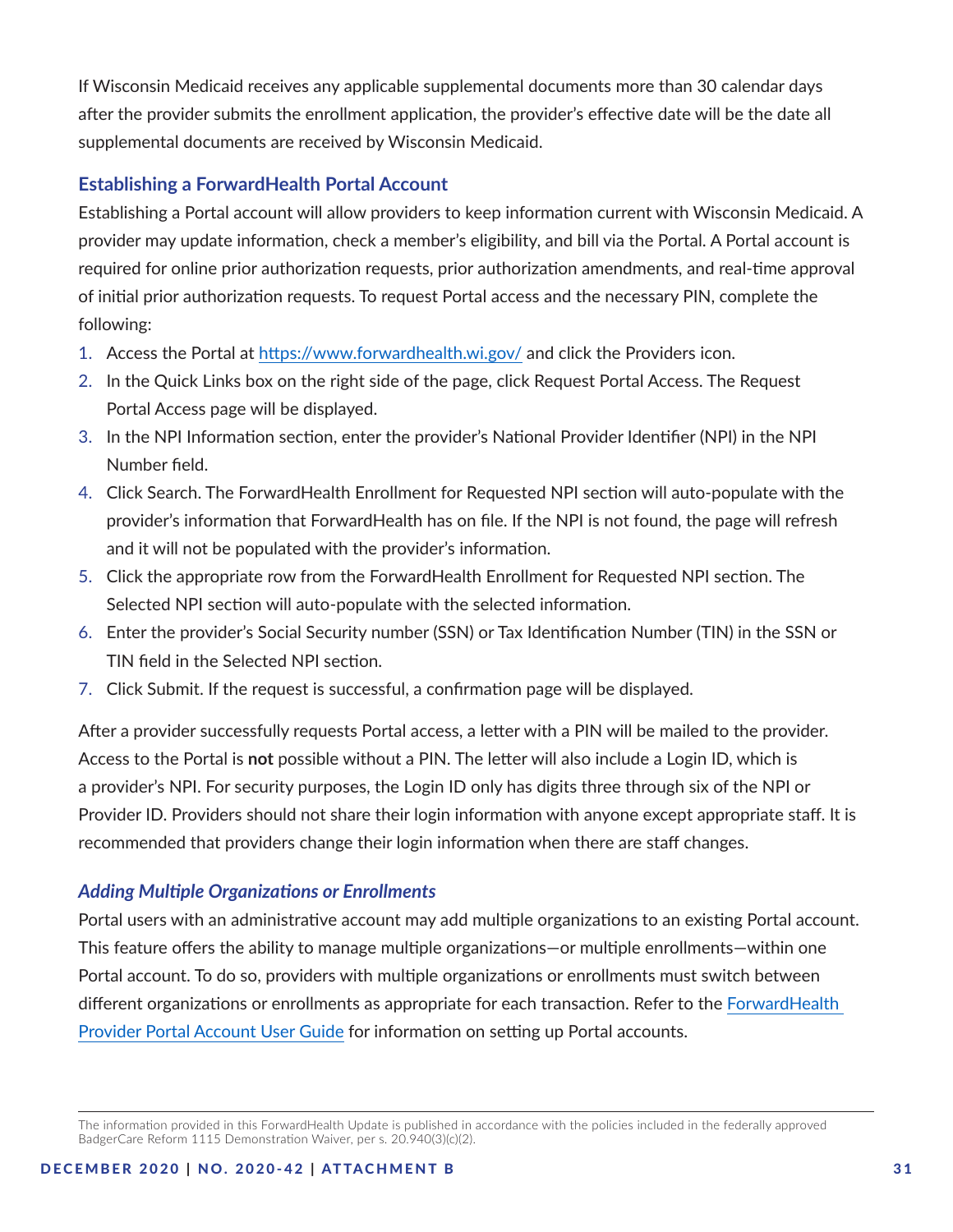If Wisconsin Medicaid receives any applicable supplemental documents more than 30 calendar days after the provider submits the enrollment application, the provider's effective date will be the date all supplemental documents are received by Wisconsin Medicaid.

## **Establishing a ForwardHealth Portal Account**

Establishing a Portal account will allow providers to keep information current with Wisconsin Medicaid. A provider may update information, check a member's eligibility, and bill via the Portal. A Portal account is required for online prior authorization requests, prior authorization amendments, and real-time approval of initial prior authorization requests. To request Portal access and the necessary PIN, complete the following:

- 1. Access the Portal at<https://www.forwardhealth.wi.gov/>and click the Providers icon.
- 2. In the Quick Links box on the right side of the page, click Request Portal Access. The Request Portal Access page will be displayed.
- 3. In the NPI Information section, enter the provider's National Provider Identifier (NPI) in the NPI Number field.
- 4. Click Search. The ForwardHealth Enrollment for Requested NPI section will auto-populate with the provider's information that ForwardHealth has on file. If the NPI is not found, the page will refresh and it will not be populated with the provider's information.
- 5. Click the appropriate row from the ForwardHealth Enrollment for Requested NPI section. The Selected NPI section will auto-populate with the selected information.
- 6. Enter the provider's Social Security number (SSN) or Tax Identification Number (TIN) in the SSN or TIN field in the Selected NPI section.
- 7. Click Submit. If the request is successful, a confirmation page will be displayed.

After a provider successfully requests Portal access, a letter with a PIN will be mailed to the provider. Access to the Portal is **not** possible without a PIN. The letter will also include a Login ID, which is a provider's NPI. For security purposes, the Login ID only has digits three through six of the NPI or Provider ID. Providers should not share their login information with anyone except appropriate staff. It is recommended that providers change their login information when there are staff changes.

# *Adding Multiple Organizations or Enrollments*

Portal users with an administrative account may add multiple organizations to an existing Portal account. This feature offers the ability to manage multiple organizations—or multiple enrollments—within one Portal account. To do so, providers with multiple organizations or enrollments must switch between different organizations or enrollments as appropriate for each transaction. Refer to the [ForwardHealth](https://www.dhs.wisconsin.gov/publications/p0/p00952.pdf)  [Provider Portal Account User Guide](https://www.dhs.wisconsin.gov/publications/p0/p00952.pdf) for information on setting up Portal accounts.

The information provided in this ForwardHealth Update is published in accordance with the policies included in the federally approved BadgerCare Reform 1115 Demonstration Waiver, per s. 20.940(3)(c)(2).